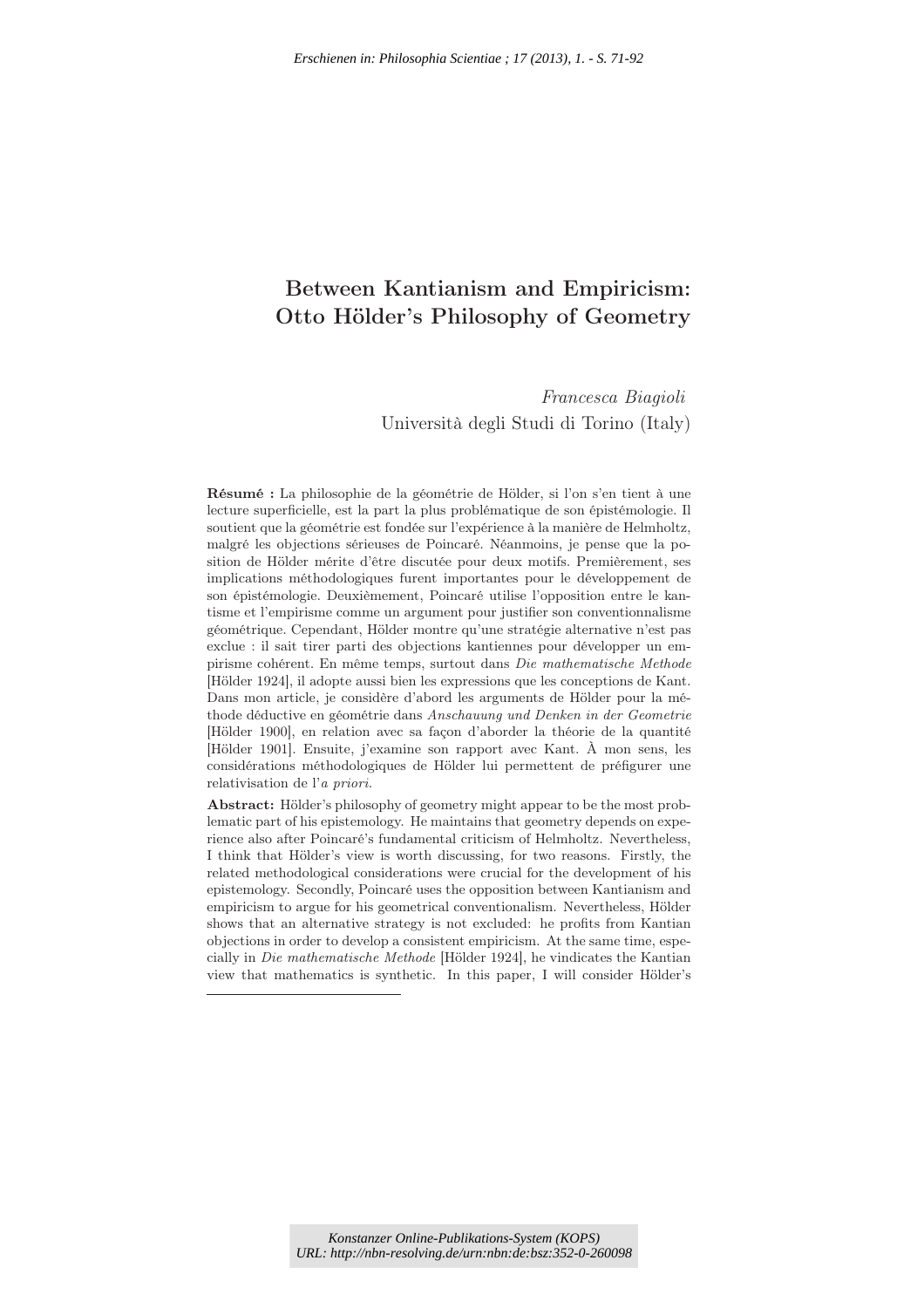# Between Kantianism and Empiricism: Otto Hölder's Philosophy of Geometry

*Francesca Biagioli* Università degli Studi di Torino (Italy)

Résumé : La philosophie de la géométrie de Hölder, si l'on s'en tient à une lecture superficielle, est la part la plus problématique de son épistémologie. Il soutient que la géométrie est fondée sur l'expérience à la manière de Helmholtz, malgré les objections sérieuses de Poincaré. Néanmoins, je pense que la position de Hölder mérite d'être discutée pour deux motifs. Premièrement, ses implications méthodologiques furent importantes pour le développement de son épistémologie. Deuxièmement, Poincaré utilise l'opposition entre le kantisme et l'empirisme comme un argument pour justifier son conventionnalisme géométrique. Cependant, Hölder montre qu'une stratégie alternative n'est pas exclue : il sait tirer parti des objections kantiennes pour développer un empirisme cohérent. En même temps, surtout dans Die mathematische Methode [Hölder 1924], il adopte aussi bien les expressions que les conceptions de Kant. Dans mon article, je considère d'abord les arguments de Hölder pour la méthode déductive en géométrie dans Anschauung und Denken in der Geometrie [Hölder 1900], en relation avec sa façon d'aborder la théorie de la quantité [Hölder 1901]. Ensuite, j'examine son rapport avec Kant. À mon sens, les considérations méthodologiques de Hölder lui permettent de préfigurer une relativisation de l'a priori.

Abstract: Hölder's philosophy of geometry might appear to be the most problematic part of his epistemology. He maintains that geometry depends on experience also after Poincaré's fundamental criticism of Helmholtz. Nevertheless, I think that Hölder's view is worth discussing, for two reasons. Firstly, the related methodological considerations were crucial for the development of his epistemology. Secondly, Poincaré uses the opposition between Kantianism and empiricism to argue for his geometrical conventionalism. Nevertheless, Hölder shows that an alternative strategy is not excluded: he profits from Kantian objections in order to develop a consistent empiricism. At the same time, especially in Die mathematische Methode [Hölder 1924], he vindicates the Kantian view that mathematics is synthetic. In this paper, I will consider Hölder's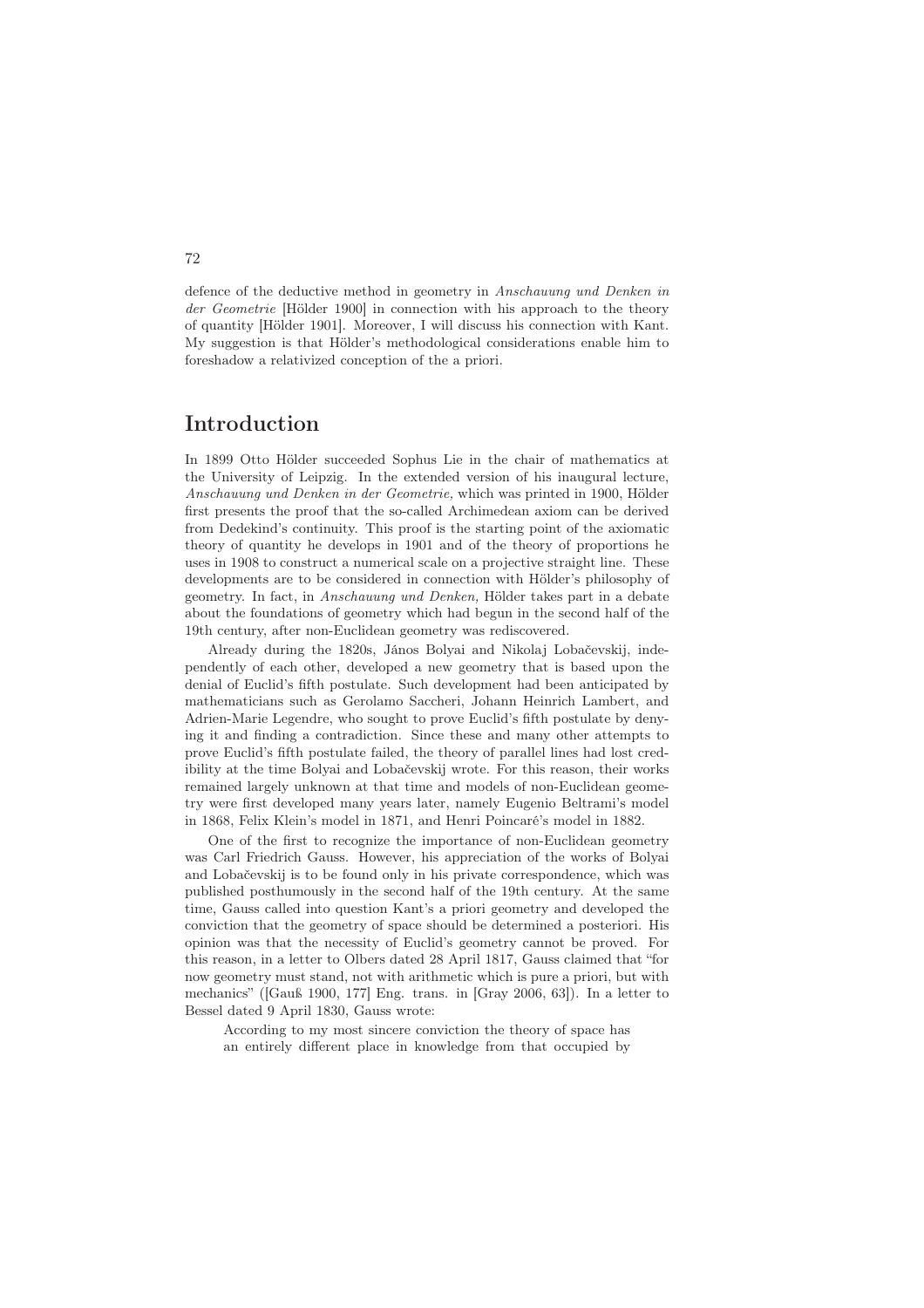defence of the deductive method in geometry in Anschauung und Denken in der Geometrie [Hölder 1900] in connection with his approach to the theory of quantity [Hölder 1901]. Moreover, I will discuss his connection with Kant. My suggestion is that Hölder's methodological considerations enable him to foreshadow a relativized conception of the a priori.

# Introduction

In 1899 Otto Hölder succeeded Sophus Lie in the chair of mathematics at the University of Leipzig. In the extended version of his inaugural lecture, Anschauung und Denken in der Geometrie, which was printed in 1900, Hölder first presents the proof that the so-called Archimedean axiom can be derived from Dedekind's continuity. This proof is the starting point of the axiomatic theory of quantity he develops in 1901 and of the theory of proportions he uses in 1908 to construct a numerical scale on a projective straight line. These developments are to be considered in connection with Hölder's philosophy of geometry. In fact, in Anschauung und Denken, Hölder takes part in a debate about the foundations of geometry which had begun in the second half of the 19th century, after non-Euclidean geometry was rediscovered.

Already during the 1820s, János Bolyai and Nikolaj Lobačevskij, independently of each other, developed a new geometry that is based upon the denial of Euclid's fifth postulate. Such development had been anticipated by mathematicians such as Gerolamo Saccheri, Johann Heinrich Lambert, and Adrien-Marie Legendre, who sought to prove Euclid's fifth postulate by denying it and finding a contradiction. Since these and many other attempts to prove Euclid's fifth postulate failed, the theory of parallel lines had lost credibility at the time Bolyai and Lobačevskij wrote. For this reason, their works remained largely unknown at that time and models of non-Euclidean geometry were first developed many years later, namely Eugenio Beltrami's model in 1868, Felix Klein's model in 1871, and Henri Poincaré's model in 1882.

One of the first to recognize the importance of non-Euclidean geometry was Carl Friedrich Gauss. However, his appreciation of the works of Bolyai and Lobačevskij is to be found only in his private correspondence, which was published posthumously in the second half of the 19th century. At the same time, Gauss called into question Kant's a priori geometry and developed the conviction that the geometry of space should be determined a posteriori. His opinion was that the necessity of Euclid's geometry cannot be proved. For this reason, in a letter to Olbers dated 28 April 1817, Gauss claimed that "for now geometry must stand, not with arithmetic which is pure a priori, but with mechanics" ([Gauß 1900, 177] Eng. trans. in [Gray 2006, 63]). In a letter to Bessel dated 9 April 1830, Gauss wrote:

According to my most sincere conviction the theory of space has an entirely different place in knowledge from that occupied by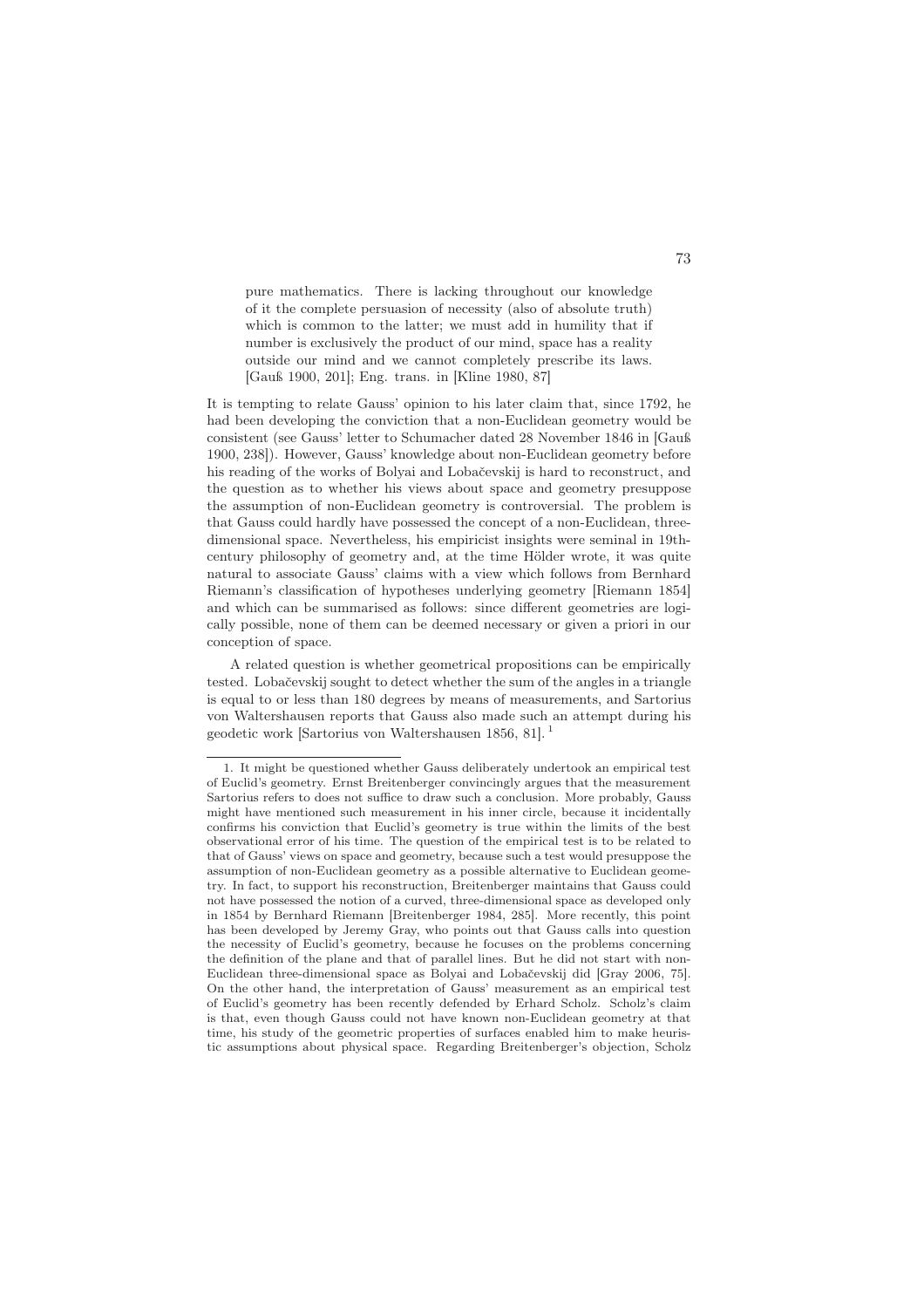pure mathematics. There is lacking throughout our knowledge of it the complete persuasion of necessity (also of absolute truth) which is common to the latter; we must add in humility that if number is exclusively the product of our mind, space has a reality outside our mind and we cannot completely prescribe its laws. [Gauß 1900, 201]; Eng. trans. in [Kline 1980, 87]

It is tempting to relate Gauss' opinion to his later claim that, since 1792, he had been developing the conviction that a non-Euclidean geometry would be consistent (see Gauss' letter to Schumacher dated 28 November 1846 in [Gauß 1900, 238]). However, Gauss' knowledge about non-Euclidean geometry before his reading of the works of Bolyai and Lobačevskij is hard to reconstruct, and the question as to whether his views about space and geometry presuppose the assumption of non-Euclidean geometry is controversial. The problem is that Gauss could hardly have possessed the concept of a non-Euclidean, threedimensional space. Nevertheless, his empiricist insights were seminal in 19thcentury philosophy of geometry and, at the time Hölder wrote, it was quite natural to associate Gauss' claims with a view which follows from Bernhard Riemann's classification of hypotheses underlying geometry [Riemann 1854] and which can be summarised as follows: since different geometries are logically possible, none of them can be deemed necessary or given a priori in our conception of space.

A related question is whether geometrical propositions can be empirically tested. Lobačevskij sought to detect whether the sum of the angles in a triangle is equal to or less than 180 degrees by means of measurements, and Sartorius von Waltershausen reports that Gauss also made such an attempt during his geodetic work [Sartorius von Waltershausen 1856, 81]. <sup>1</sup>

<sup>1.</sup> It might be questioned whether Gauss deliberately undertook an empirical test of Euclid's geometry. Ernst Breitenberger convincingly argues that the measurement Sartorius refers to does not suffice to draw such a conclusion. More probably, Gauss might have mentioned such measurement in his inner circle, because it incidentally confirms his conviction that Euclid's geometry is true within the limits of the best observational error of his time. The question of the empirical test is to be related to that of Gauss' views on space and geometry, because such a test would presuppose the assumption of non-Euclidean geometry as a possible alternative to Euclidean geometry. In fact, to support his reconstruction, Breitenberger maintains that Gauss could not have possessed the notion of a curved, three-dimensional space as developed only in 1854 by Bernhard Riemann [Breitenberger 1984, 285]. More recently, this point has been developed by Jeremy Gray, who points out that Gauss calls into question the necessity of Euclid's geometry, because he focuses on the problems concerning the definition of the plane and that of parallel lines. But he did not start with non-Euclidean three-dimensional space as Bolyai and Lobačevskij did [Gray 2006, 75]. On the other hand, the interpretation of Gauss' measurement as an empirical test of Euclid's geometry has been recently defended by Erhard Scholz. Scholz's claim is that, even though Gauss could not have known non-Euclidean geometry at that time, his study of the geometric properties of surfaces enabled him to make heuristic assumptions about physical space. Regarding Breitenberger's objection, Scholz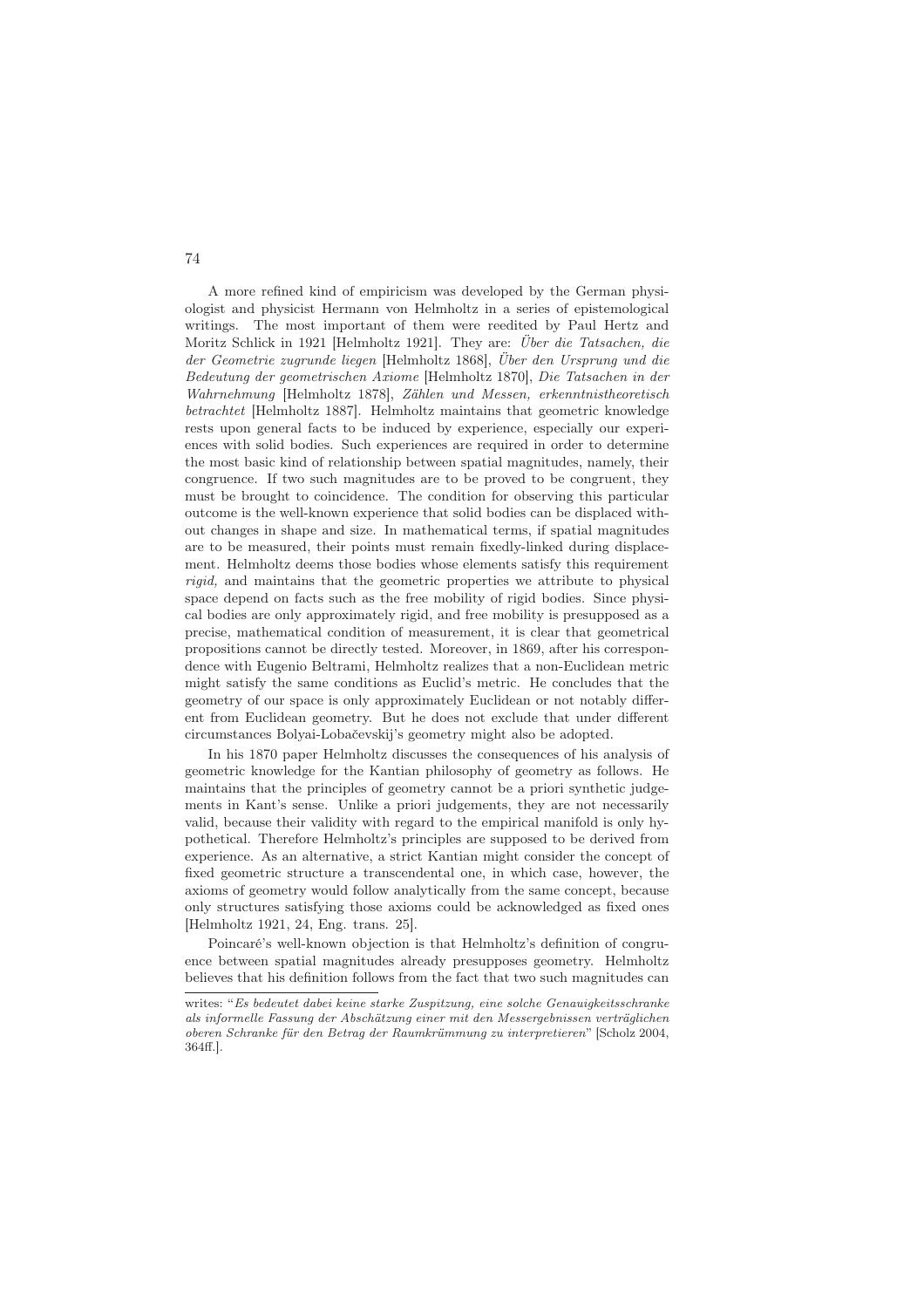A more refined kind of empiricism was developed by the German physiologist and physicist Hermann von Helmholtz in a series of epistemological writings. The most important of them were reedited by Paul Hertz and Moritz Schlick in 1921 [Helmholtz 1921]. They are: Über die Tatsachen, die der Geometrie zugrunde liegen [Helmholtz 1868], Über den Ursprung und die Bedeutung der geometrischen Axiome [Helmholtz 1870], Die Tatsachen in der Wahrnehmung [Helmholtz 1878], Zählen und Messen, erkenntnistheoretisch betrachtet [Helmholtz 1887]. Helmholtz maintains that geometric knowledge rests upon general facts to be induced by experience, especially our experiences with solid bodies. Such experiences are required in order to determine the most basic kind of relationship between spatial magnitudes, namely, their congruence. If two such magnitudes are to be proved to be congruent, they must be brought to coincidence. The condition for observing this particular outcome is the well-known experience that solid bodies can be displaced without changes in shape and size. In mathematical terms, if spatial magnitudes are to be measured, their points must remain fixedly-linked during displacement. Helmholtz deems those bodies whose elements satisfy this requirement rigid, and maintains that the geometric properties we attribute to physical space depend on facts such as the free mobility of rigid bodies. Since physical bodies are only approximately rigid, and free mobility is presupposed as a precise, mathematical condition of measurement, it is clear that geometrical propositions cannot be directly tested. Moreover, in 1869, after his correspondence with Eugenio Beltrami, Helmholtz realizes that a non-Euclidean metric might satisfy the same conditions as Euclid's metric. He concludes that the geometry of our space is only approximately Euclidean or not notably different from Euclidean geometry. But he does not exclude that under different circumstances Bolyai-Lobačevskij's geometry might also be adopted.

In his 1870 paper Helmholtz discusses the consequences of his analysis of geometric knowledge for the Kantian philosophy of geometry as follows. He maintains that the principles of geometry cannot be a priori synthetic judgements in Kant's sense. Unlike a priori judgements, they are not necessarily valid, because their validity with regard to the empirical manifold is only hypothetical. Therefore Helmholtz's principles are supposed to be derived from experience. As an alternative, a strict Kantian might consider the concept of fixed geometric structure a transcendental one, in which case, however, the axioms of geometry would follow analytically from the same concept, because only structures satisfying those axioms could be acknowledged as fixed ones [Helmholtz 1921, 24, Eng. trans. 25].

Poincaré's well-known objection is that Helmholtz's definition of congruence between spatial magnitudes already presupposes geometry. Helmholtz believes that his definition follows from the fact that two such magnitudes can

writes: "*Es bedeutet dabei keine starke Zuspitzung, eine solche Genauigkeitsschranke als informelle Fassung der Abschätzung einer mit den Messergebnissen verträglichen oberen Schranke für den Betrag der Raumkrümmung zu interpretieren*" [Scholz 2004, 364ff.].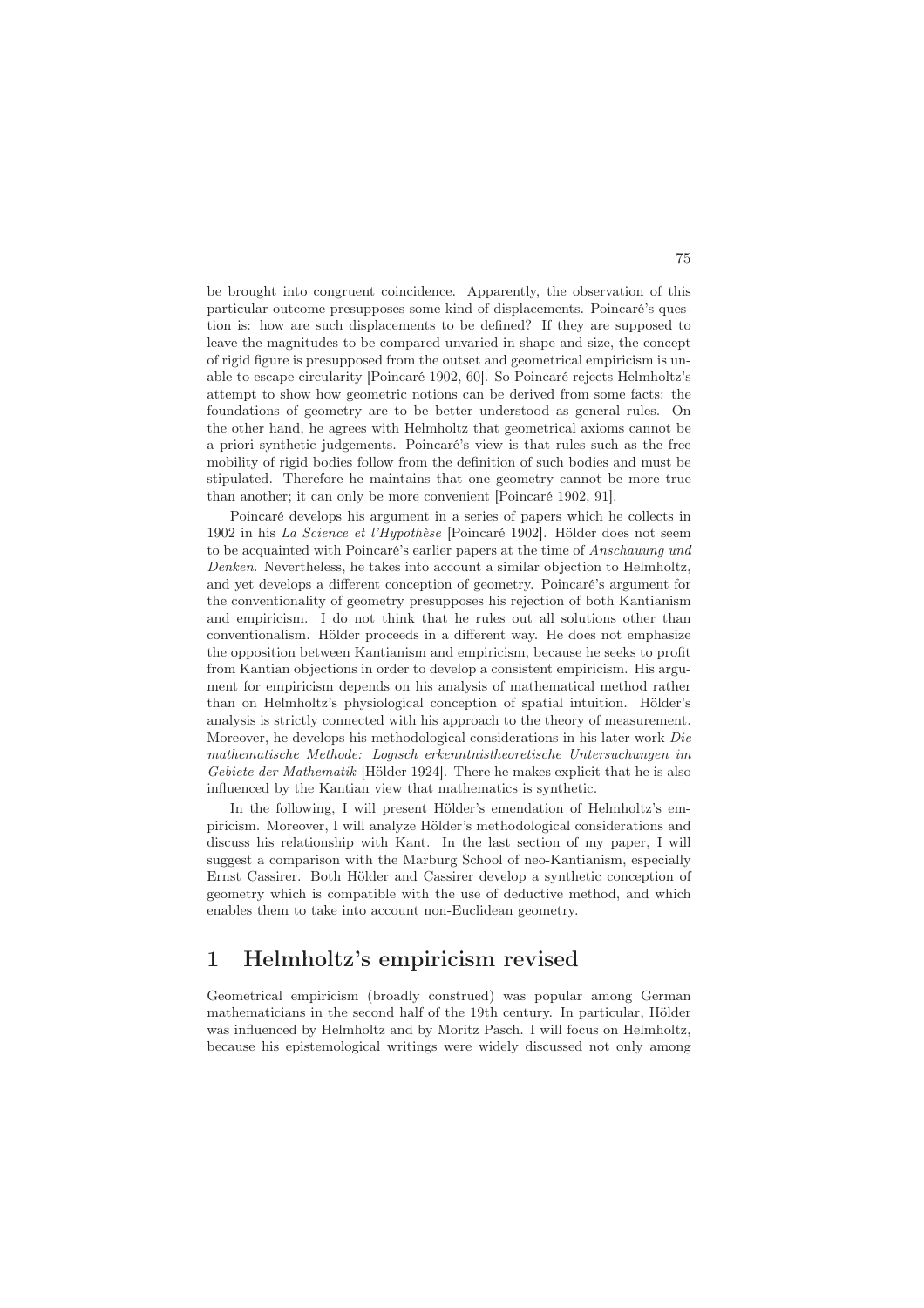be brought into congruent coincidence. Apparently, the observation of this particular outcome presupposes some kind of displacements. Poincaré's question is: how are such displacements to be defined? If they are supposed to leave the magnitudes to be compared unvaried in shape and size, the concept of rigid figure is presupposed from the outset and geometrical empiricism is unable to escape circularity [Poincaré 1902, 60]. So Poincaré rejects Helmholtz's attempt to show how geometric notions can be derived from some facts: the foundations of geometry are to be better understood as general rules. On the other hand, he agrees with Helmholtz that geometrical axioms cannot be a priori synthetic judgements. Poincaré's view is that rules such as the free mobility of rigid bodies follow from the definition of such bodies and must be stipulated. Therefore he maintains that one geometry cannot be more true than another; it can only be more convenient [Poincaré 1902, 91].

Poincaré develops his argument in a series of papers which he collects in 1902 in his La Science et l'Hypothèse [Poincaré 1902]. Hölder does not seem to be acquainted with Poincaré's earlier papers at the time of Anschauung und Denken. Nevertheless, he takes into account a similar objection to Helmholtz, and yet develops a different conception of geometry. Poincaré's argument for the conventionality of geometry presupposes his rejection of both Kantianism and empiricism. I do not think that he rules out all solutions other than conventionalism. Hölder proceeds in a different way. He does not emphasize the opposition between Kantianism and empiricism, because he seeks to profit from Kantian objections in order to develop a consistent empiricism. His argument for empiricism depends on his analysis of mathematical method rather than on Helmholtz's physiological conception of spatial intuition. Hölder's analysis is strictly connected with his approach to the theory of measurement. Moreover, he develops his methodological considerations in his later work Die mathematische Methode: Logisch erkenntnistheoretische Untersuchungen im Gebiete der Mathematik [Hölder 1924]. There he makes explicit that he is also influenced by the Kantian view that mathematics is synthetic.

In the following, I will present Hölder's emendation of Helmholtz's empiricism. Moreover, I will analyze Hölder's methodological considerations and discuss his relationship with Kant. In the last section of my paper, I will suggest a comparison with the Marburg School of neo-Kantianism, especially Ernst Cassirer. Both Hölder and Cassirer develop a synthetic conception of geometry which is compatible with the use of deductive method, and which enables them to take into account non-Euclidean geometry.

# 1 Helmholtz's empiricism revised

Geometrical empiricism (broadly construed) was popular among German mathematicians in the second half of the 19th century. In particular, Hölder was influenced by Helmholtz and by Moritz Pasch. I will focus on Helmholtz, because his epistemological writings were widely discussed not only among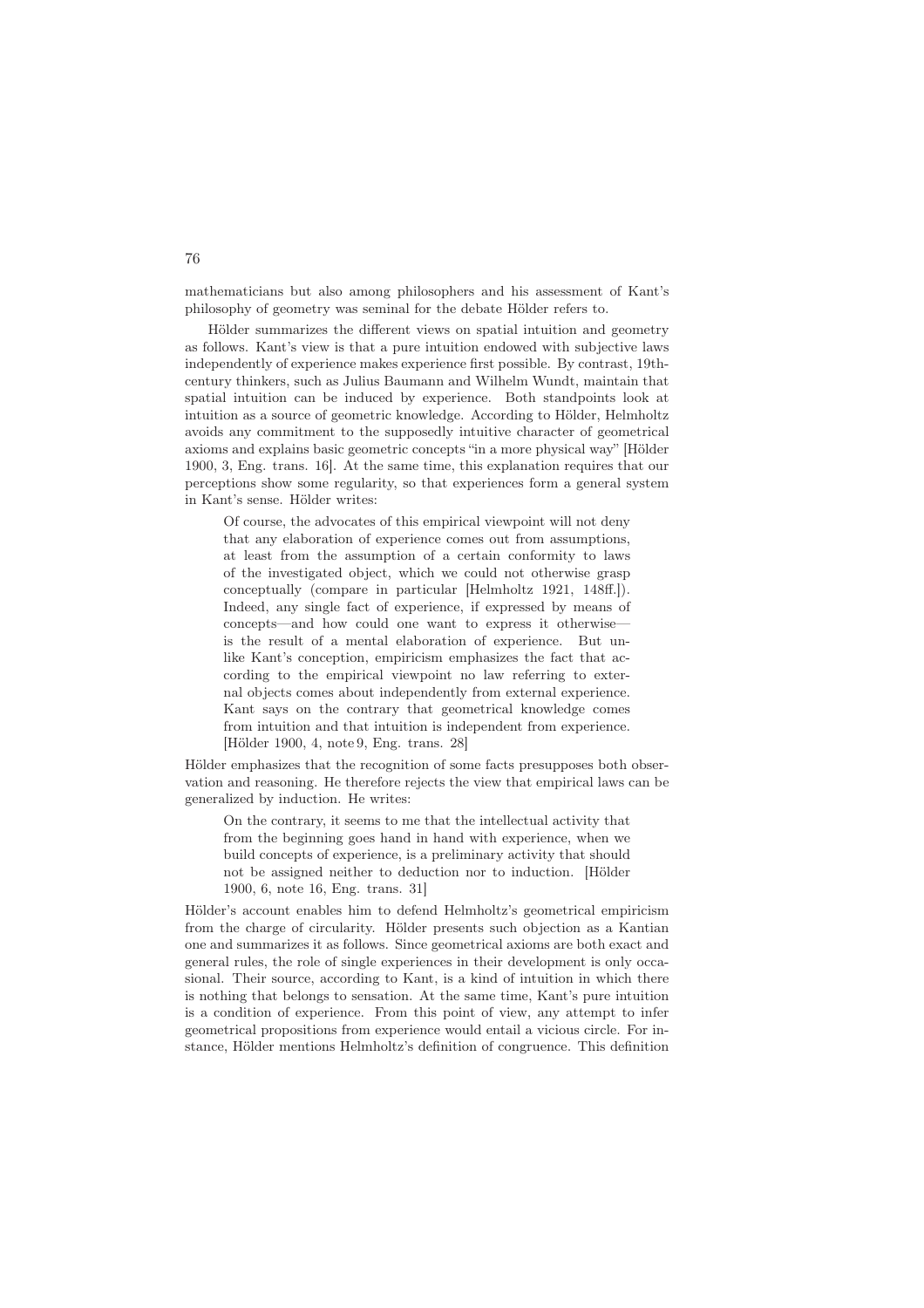mathematicians but also among philosophers and his assessment of Kant's philosophy of geometry was seminal for the debate Hölder refers to.

Hölder summarizes the different views on spatial intuition and geometry as follows. Kant's view is that a pure intuition endowed with subjective laws independently of experience makes experience first possible. By contrast, 19thcentury thinkers, such as Julius Baumann and Wilhelm Wundt, maintain that spatial intuition can be induced by experience. Both standpoints look at intuition as a source of geometric knowledge. According to Hölder, Helmholtz avoids any commitment to the supposedly intuitive character of geometrical axioms and explains basic geometric concepts "in a more physical way" [Hölder 1900, 3, Eng. trans. 16]. At the same time, this explanation requires that our perceptions show some regularity, so that experiences form a general system in Kant's sense. Hölder writes:

Of course, the advocates of this empirical viewpoint will not deny that any elaboration of experience comes out from assumptions, at least from the assumption of a certain conformity to laws of the investigated object, which we could not otherwise grasp conceptually (compare in particular [Helmholtz 1921, 148ff.]). Indeed, any single fact of experience, if expressed by means of concepts—and how could one want to express it otherwise is the result of a mental elaboration of experience. But unlike Kant's conception, empiricism emphasizes the fact that according to the empirical viewpoint no law referring to external objects comes about independently from external experience. Kant says on the contrary that geometrical knowledge comes from intuition and that intuition is independent from experience. [Hölder 1900, 4, note 9, Eng. trans. 28]

Hölder emphasizes that the recognition of some facts presupposes both observation and reasoning. He therefore rejects the view that empirical laws can be generalized by induction. He writes:

On the contrary, it seems to me that the intellectual activity that from the beginning goes hand in hand with experience, when we build concepts of experience, is a preliminary activity that should not be assigned neither to deduction nor to induction. [Hölder 1900, 6, note 16, Eng. trans. 31]

Hölder's account enables him to defend Helmholtz's geometrical empiricism from the charge of circularity. Hölder presents such objection as a Kantian one and summarizes it as follows. Since geometrical axioms are both exact and general rules, the role of single experiences in their development is only occasional. Their source, according to Kant, is a kind of intuition in which there is nothing that belongs to sensation. At the same time, Kant's pure intuition is a condition of experience. From this point of view, any attempt to infer geometrical propositions from experience would entail a vicious circle. For instance, Hölder mentions Helmholtz's definition of congruence. This definition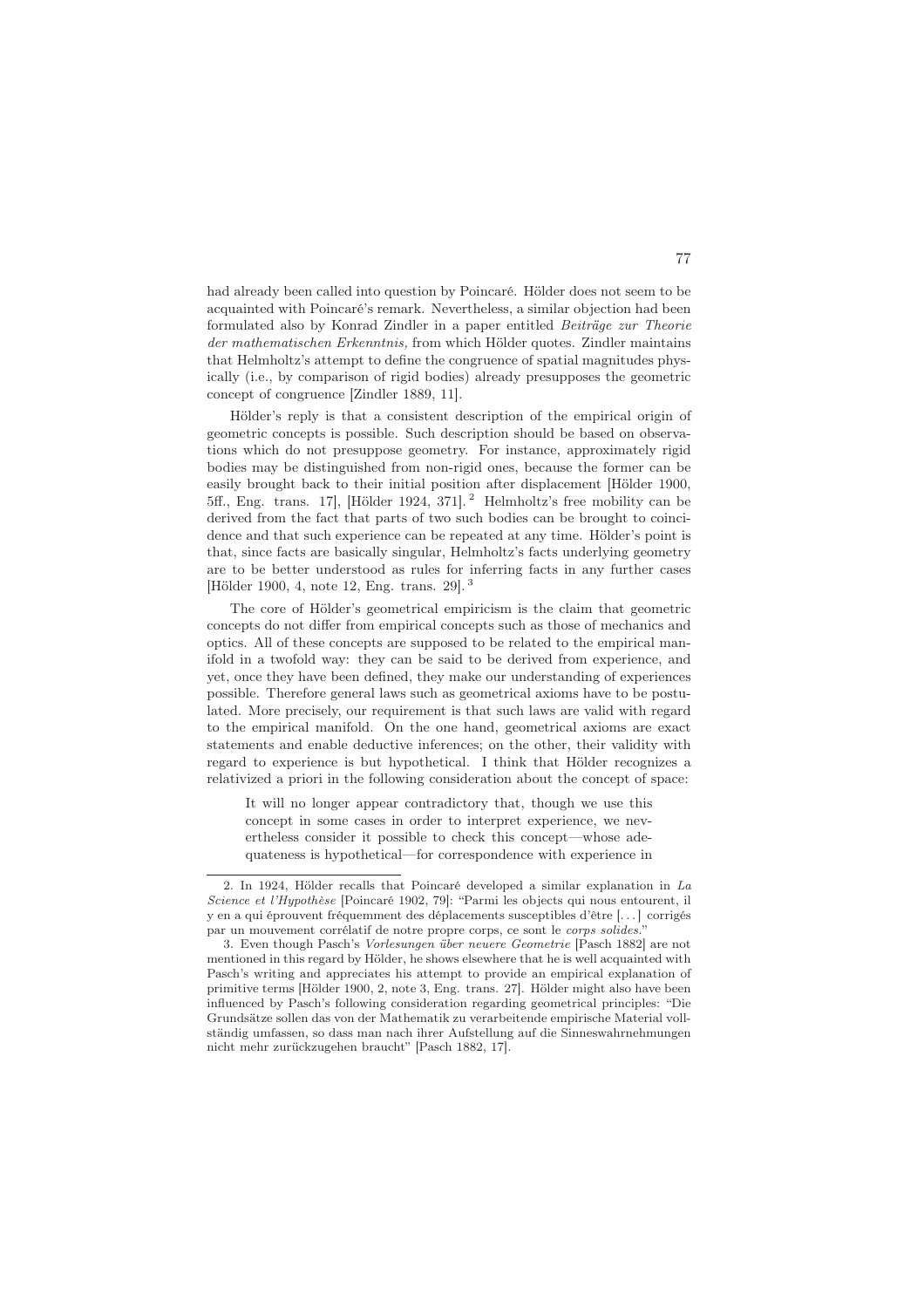had already been called into question by Poincaré. Hölder does not seem to be acquainted with Poincaré's remark. Nevertheless, a similar objection had been formulated also by Konrad Zindler in a paper entitled Beiträge zur Theorie der mathematischen Erkenntnis, from which Hölder quotes. Zindler maintains that Helmholtz's attempt to define the congruence of spatial magnitudes physically (i.e., by comparison of rigid bodies) already presupposes the geometric concept of congruence [Zindler 1889, 11].

Hölder's reply is that a consistent description of the empirical origin of geometric concepts is possible. Such description should be based on observations which do not presuppose geometry. For instance, approximately rigid bodies may be distinguished from non-rigid ones, because the former can be easily brought back to their initial position after displacement [Hölder 1900, 5ff., Eng. trans. 17], [Hölder 1924, 371]. <sup>2</sup> Helmholtz's free mobility can be derived from the fact that parts of two such bodies can be brought to coincidence and that such experience can be repeated at any time. Hölder's point is that, since facts are basically singular, Helmholtz's facts underlying geometry are to be better understood as rules for inferring facts in any further cases [Hölder 1900, 4, note 12, Eng. trans. 29]. <sup>3</sup>

The core of Hölder's geometrical empiricism is the claim that geometric concepts do not differ from empirical concepts such as those of mechanics and optics. All of these concepts are supposed to be related to the empirical manifold in a twofold way: they can be said to be derived from experience, and yet, once they have been defined, they make our understanding of experiences possible. Therefore general laws such as geometrical axioms have to be postulated. More precisely, our requirement is that such laws are valid with regard to the empirical manifold. On the one hand, geometrical axioms are exact statements and enable deductive inferences; on the other, their validity with regard to experience is but hypothetical. I think that Hölder recognizes a relativized a priori in the following consideration about the concept of space:

It will no longer appear contradictory that, though we use this concept in some cases in order to interpret experience, we nevertheless consider it possible to check this concept—whose adequateness is hypothetical—for correspondence with experience in

<sup>2.</sup> In 1924, Hölder recalls that Poincaré developed a similar explanation in *La Science et l'Hypothèse* [Poincaré 1902, 79]: "Parmi les objects qui nous entourent, il y en a qui éprouvent fréquemment des déplacements susceptibles d'être [...] corrigés par un mouvement corrélatif de notre propre corps, ce sont le *corps solides.*"

<sup>3.</sup> Even though Pasch's *Vorlesungen über neuere Geometrie* [Pasch 1882] are not mentioned in this regard by Hölder, he shows elsewhere that he is well acquainted with Pasch's writing and appreciates his attempt to provide an empirical explanation of primitive terms [Hölder 1900, 2, note 3, Eng. trans. 27]. Hölder might also have been influenced by Pasch's following consideration regarding geometrical principles: "Die Grundsätze sollen das von der Mathematik zu verarbeitende empirische Material vollständig umfassen, so dass man nach ihrer Aufstellung auf die Sinneswahrnehmungen nicht mehr zurückzugehen braucht" [Pasch 1882, 17].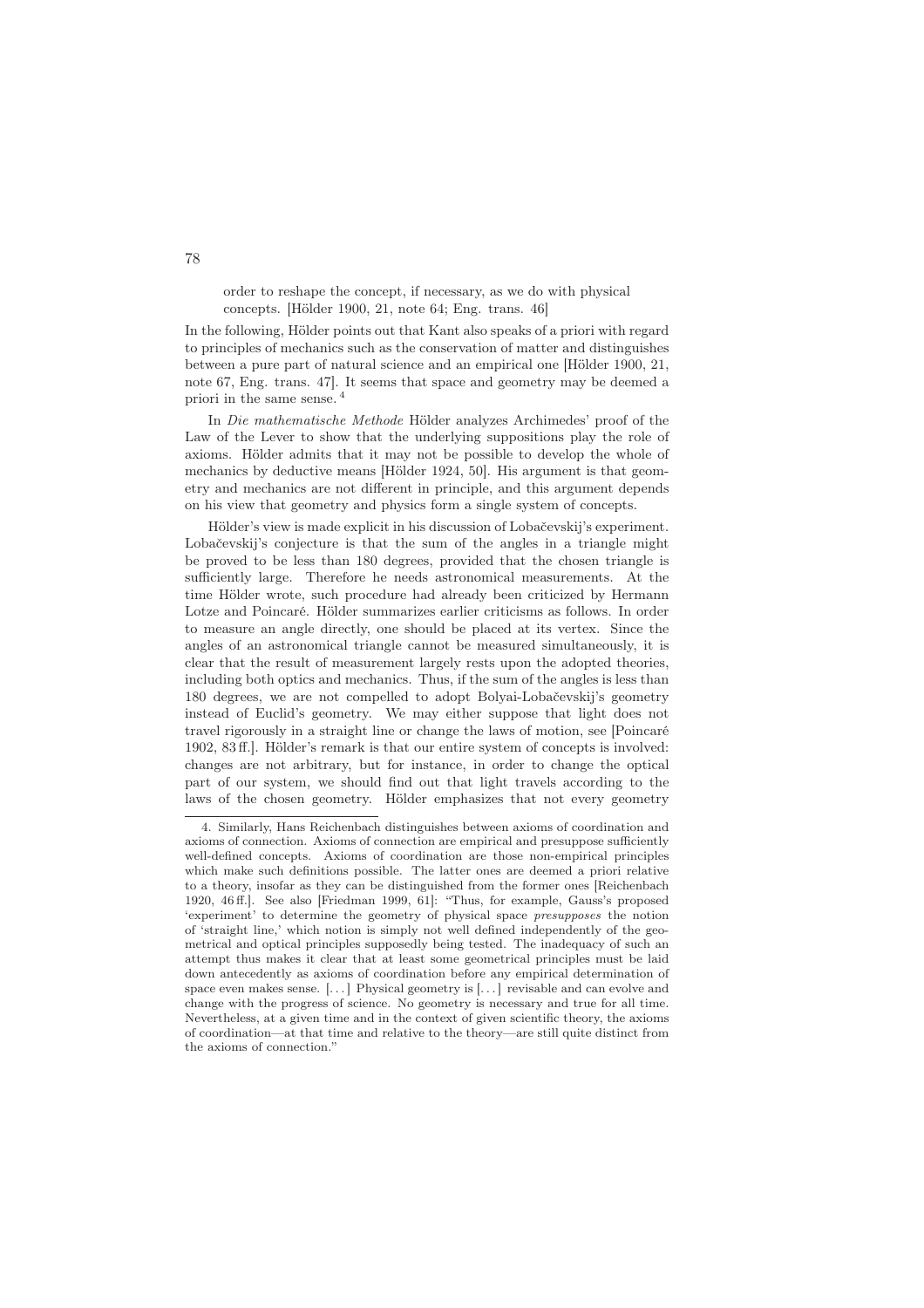order to reshape the concept, if necessary, as we do with physical concepts. [Hölder 1900, 21, note 64; Eng. trans. 46]

In the following, Hölder points out that Kant also speaks of a priori with regard to principles of mechanics such as the conservation of matter and distinguishes between a pure part of natural science and an empirical one [Hölder 1900, 21, note 67, Eng. trans. 47]. It seems that space and geometry may be deemed a priori in the same sense. <sup>4</sup>

In Die mathematische Methode Hölder analyzes Archimedes' proof of the Law of the Lever to show that the underlying suppositions play the role of axioms. Hölder admits that it may not be possible to develop the whole of mechanics by deductive means [Hölder 1924, 50]. His argument is that geometry and mechanics are not different in principle, and this argument depends on his view that geometry and physics form a single system of concepts.

Hölder's view is made explicit in his discussion of Lobačevskij's experiment. Lobačevskij's conjecture is that the sum of the angles in a triangle might be proved to be less than 180 degrees, provided that the chosen triangle is sufficiently large. Therefore he needs astronomical measurements. At the time Hölder wrote, such procedure had already been criticized by Hermann Lotze and Poincaré. Hölder summarizes earlier criticisms as follows. In order to measure an angle directly, one should be placed at its vertex. Since the angles of an astronomical triangle cannot be measured simultaneously, it is clear that the result of measurement largely rests upon the adopted theories, including both optics and mechanics. Thus, if the sum of the angles is less than 180 degrees, we are not compelled to adopt Bolyai-Lobačevskij's geometry instead of Euclid's geometry. We may either suppose that light does not travel rigorously in a straight line or change the laws of motion, see [Poincaré 1902, 83 ff.]. Hölder's remark is that our entire system of concepts is involved: changes are not arbitrary, but for instance, in order to change the optical part of our system, we should find out that light travels according to the laws of the chosen geometry. Hölder emphasizes that not every geometry

<sup>4.</sup> Similarly, Hans Reichenbach distinguishes between axioms of coordination and axioms of connection. Axioms of connection are empirical and presuppose sufficiently well-defined concepts. Axioms of coordination are those non-empirical principles which make such definitions possible. The latter ones are deemed a priori relative to a theory, insofar as they can be distinguished from the former ones [Reichenbach 1920, 46 ff.]. See also [Friedman 1999, 61]: "Thus, for example, Gauss's proposed 'experiment' to determine the geometry of physical space *presupposes* the notion of 'straight line,' which notion is simply not well defined independently of the geometrical and optical principles supposedly being tested. The inadequacy of such an attempt thus makes it clear that at least some geometrical principles must be laid down antecedently as axioms of coordination before any empirical determination of space even makes sense. [. . . ] Physical geometry is [...] revisable and can evolve and change with the progress of science. No geometry is necessary and true for all time. Nevertheless, at a given time and in the context of given scientific theory, the axioms of coordination—at that time and relative to the theory—are still quite distinct from the axioms of connection."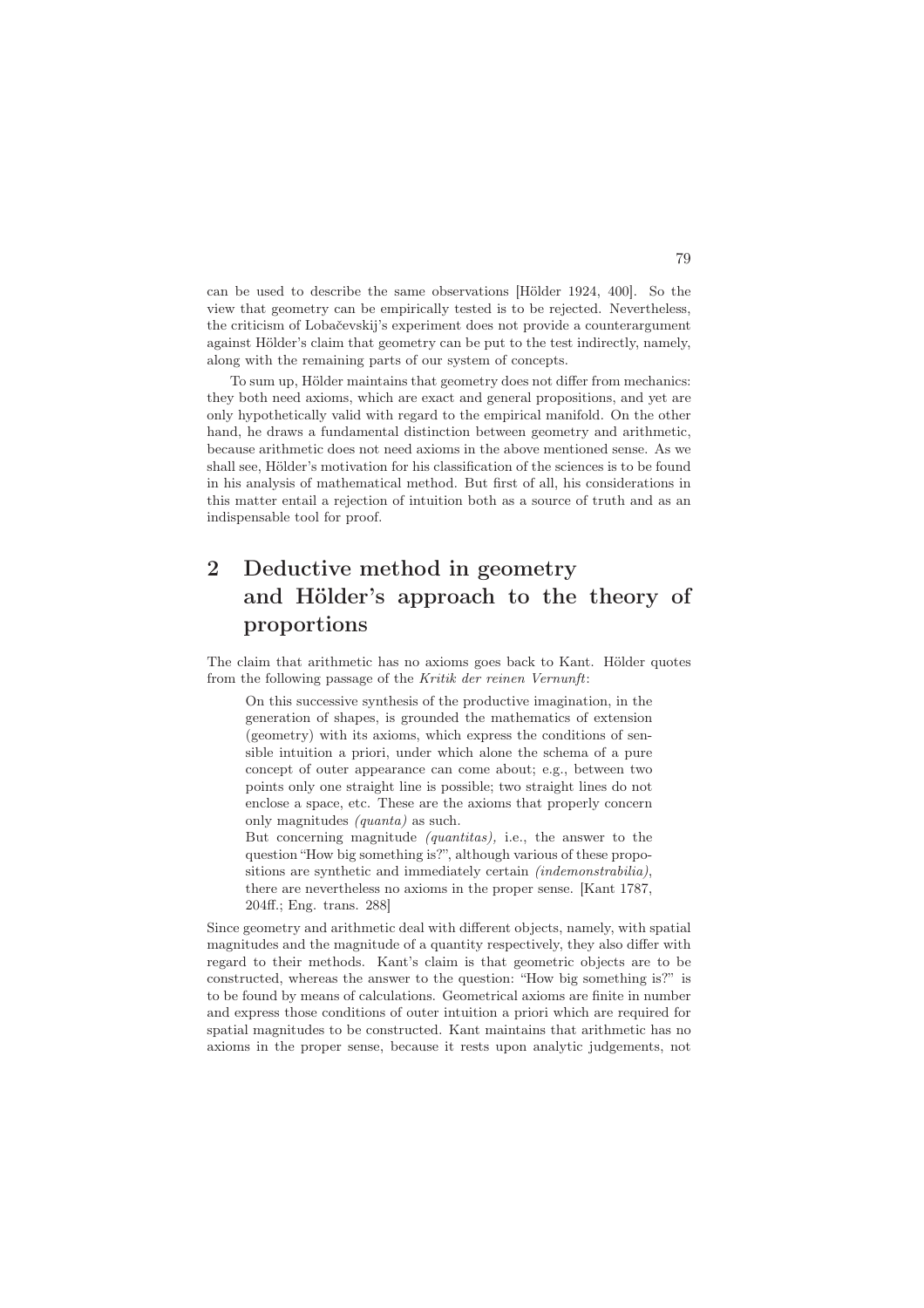can be used to describe the same observations [Hölder 1924, 400]. So the view that geometry can be empirically tested is to be rejected. Nevertheless, the criticism of Lobačevskij's experiment does not provide a counterargument against Hölder's claim that geometry can be put to the test indirectly, namely, along with the remaining parts of our system of concepts.

To sum up, Hölder maintains that geometry does not differ from mechanics: they both need axioms, which are exact and general propositions, and yet are only hypothetically valid with regard to the empirical manifold. On the other hand, he draws a fundamental distinction between geometry and arithmetic, because arithmetic does not need axioms in the above mentioned sense. As we shall see, Hölder's motivation for his classification of the sciences is to be found in his analysis of mathematical method. But first of all, his considerations in this matter entail a rejection of intuition both as a source of truth and as an indispensable tool for proof.

# 2 Deductive method in geometry and Hölder's approach to the theory of proportions

The claim that arithmetic has no axioms goes back to Kant. Hölder quotes from the following passage of the Kritik der reinen Vernunft:

On this successive synthesis of the productive imagination, in the generation of shapes, is grounded the mathematics of extension (geometry) with its axioms, which express the conditions of sensible intuition a priori, under which alone the schema of a pure concept of outer appearance can come about; e.g., between two points only one straight line is possible; two straight lines do not enclose a space, etc. These are the axioms that properly concern only magnitudes (quanta) as such.

But concerning magnitude (quantitas), i.e., the answer to the question "How big something is?", although various of these propositions are synthetic and immediately certain (indemonstrabilia), there are nevertheless no axioms in the proper sense. [Kant 1787, 204ff.; Eng. trans. 288]

Since geometry and arithmetic deal with different objects, namely, with spatial magnitudes and the magnitude of a quantity respectively, they also differ with regard to their methods. Kant's claim is that geometric objects are to be constructed, whereas the answer to the question: "How big something is?" is to be found by means of calculations. Geometrical axioms are finite in number and express those conditions of outer intuition a priori which are required for spatial magnitudes to be constructed. Kant maintains that arithmetic has no axioms in the proper sense, because it rests upon analytic judgements, not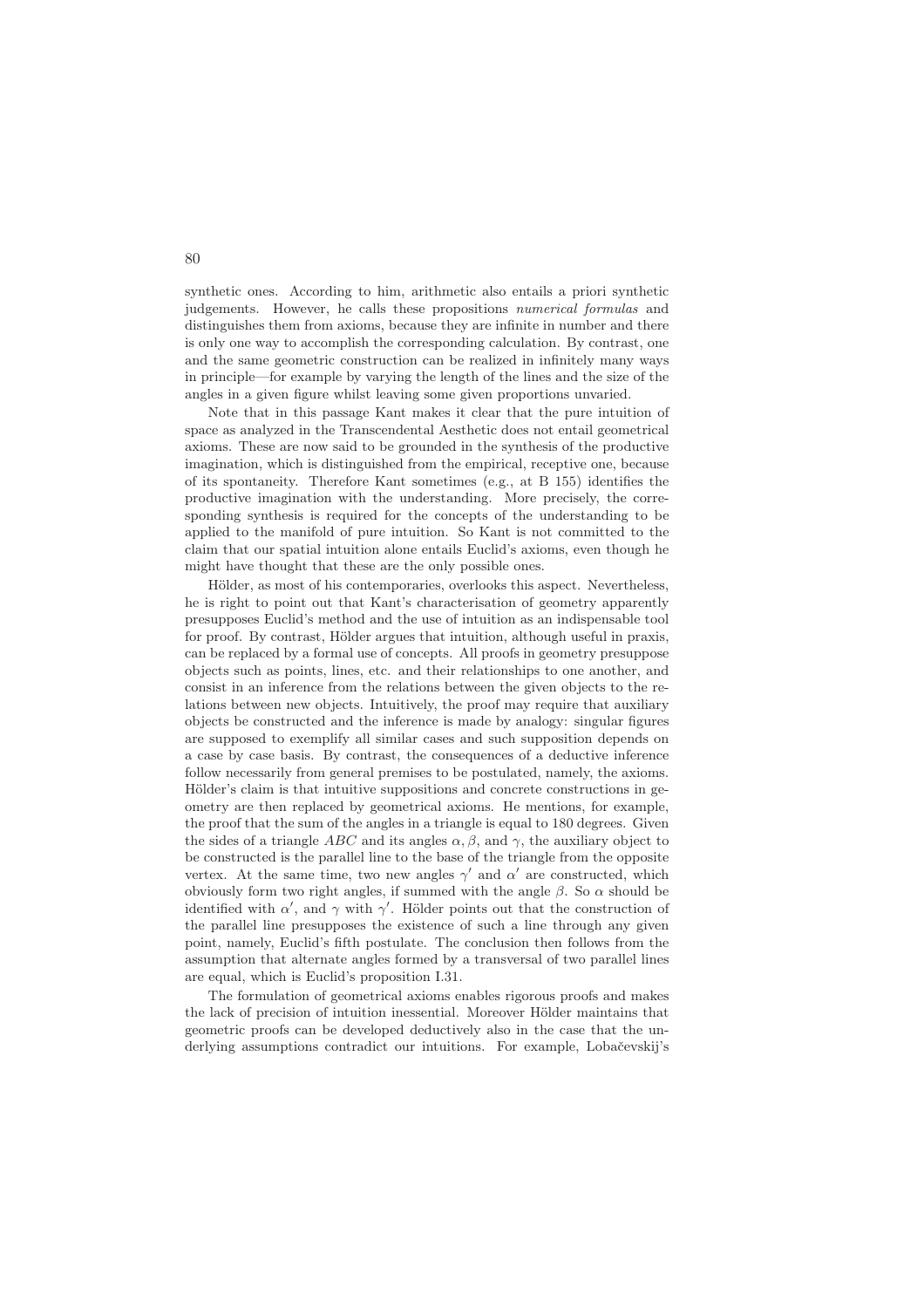synthetic ones. According to him, arithmetic also entails a priori synthetic judgements. However, he calls these propositions numerical formulas and distinguishes them from axioms, because they are infinite in number and there is only one way to accomplish the corresponding calculation. By contrast, one and the same geometric construction can be realized in infinitely many ways in principle—for example by varying the length of the lines and the size of the angles in a given figure whilst leaving some given proportions unvaried.

Note that in this passage Kant makes it clear that the pure intuition of space as analyzed in the Transcendental Aesthetic does not entail geometrical axioms. These are now said to be grounded in the synthesis of the productive imagination, which is distinguished from the empirical, receptive one, because of its spontaneity. Therefore Kant sometimes (e.g., at B 155) identifies the productive imagination with the understanding. More precisely, the corresponding synthesis is required for the concepts of the understanding to be applied to the manifold of pure intuition. So Kant is not committed to the claim that our spatial intuition alone entails Euclid's axioms, even though he might have thought that these are the only possible ones.

Hölder, as most of his contemporaries, overlooks this aspect. Nevertheless, he is right to point out that Kant's characterisation of geometry apparently presupposes Euclid's method and the use of intuition as an indispensable tool for proof. By contrast, Hölder argues that intuition, although useful in praxis, can be replaced by a formal use of concepts. All proofs in geometry presuppose objects such as points, lines, etc. and their relationships to one another, and consist in an inference from the relations between the given objects to the relations between new objects. Intuitively, the proof may require that auxiliary objects be constructed and the inference is made by analogy: singular figures are supposed to exemplify all similar cases and such supposition depends on a case by case basis. By contrast, the consequences of a deductive inference follow necessarily from general premises to be postulated, namely, the axioms. Hölder's claim is that intuitive suppositions and concrete constructions in geometry are then replaced by geometrical axioms. He mentions, for example, the proof that the sum of the angles in a triangle is equal to 180 degrees. Given the sides of a triangle ABC and its angles  $\alpha, \beta$ , and  $\gamma$ , the auxiliary object to be constructed is the parallel line to the base of the triangle from the opposite vertex. At the same time, two new angles  $\gamma'$  and  $\alpha'$  are constructed, which obviously form two right angles, if summed with the angle  $β$ . So  $α$  should be identified with  $\alpha'$ , and  $\gamma$  with  $\gamma'$ . Hölder points out that the construction of the parallel line presupposes the existence of such a line through any given point, namely, Euclid's fifth postulate. The conclusion then follows from the assumption that alternate angles formed by a transversal of two parallel lines are equal, which is Euclid's proposition I.31.

The formulation of geometrical axioms enables rigorous proofs and makes the lack of precision of intuition inessential. Moreover Hölder maintains that geometric proofs can be developed deductively also in the case that the underlying assumptions contradict our intuitions. For example, Lobačevskij's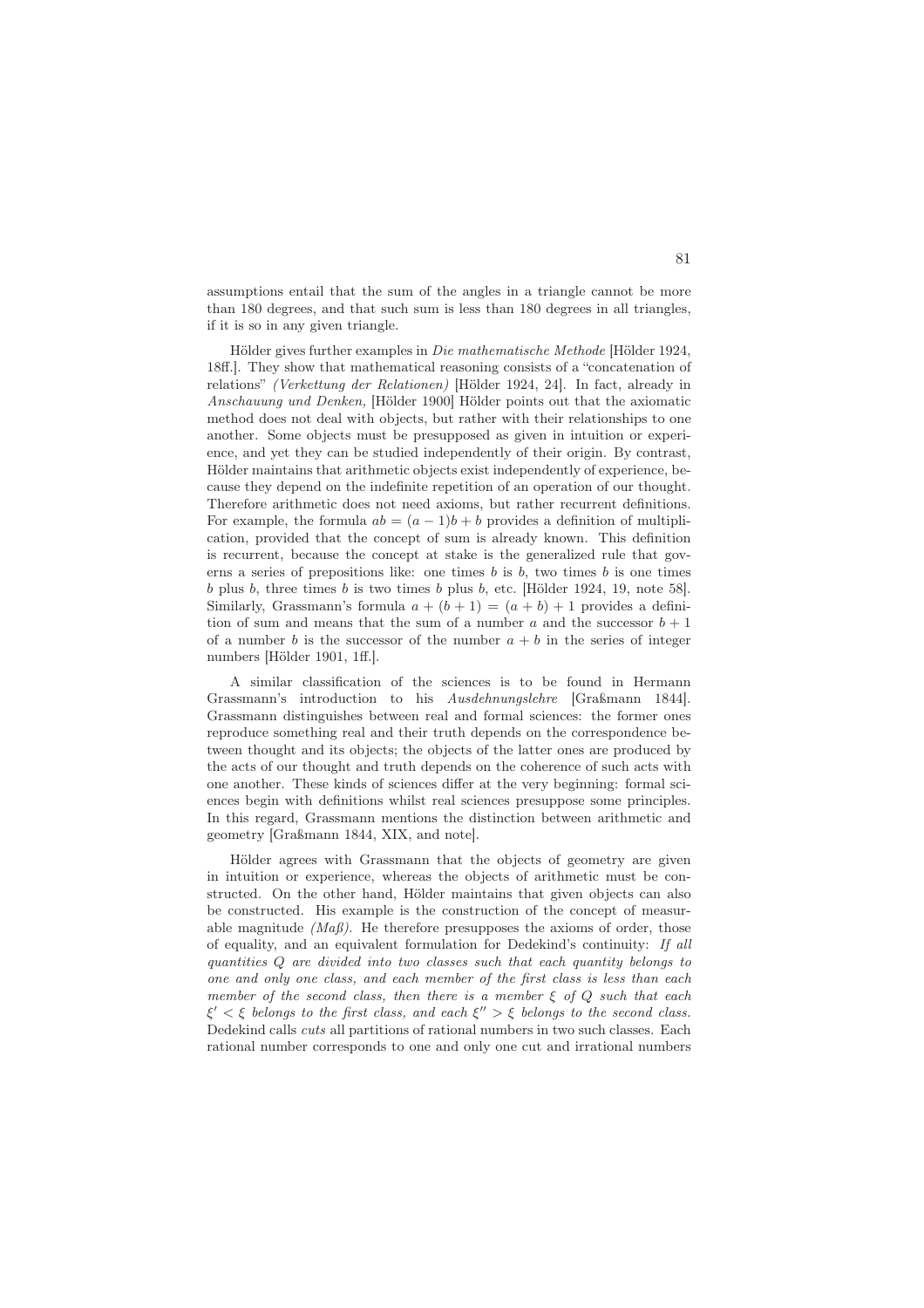assumptions entail that the sum of the angles in a triangle cannot be more than 180 degrees, and that such sum is less than 180 degrees in all triangles, if it is so in any given triangle.

Hölder gives further examples in Die mathematische Methode [Hölder 1924, 18ff.]. They show that mathematical reasoning consists of a "concatenation of relations" (Verkettung der Relationen) [Hölder 1924, 24]. In fact, already in Anschauung und Denken, [Hölder 1900] Hölder points out that the axiomatic method does not deal with objects, but rather with their relationships to one another. Some objects must be presupposed as given in intuition or experience, and yet they can be studied independently of their origin. By contrast, Hölder maintains that arithmetic objects exist independently of experience, because they depend on the indefinite repetition of an operation of our thought. Therefore arithmetic does not need axioms, but rather recurrent definitions. For example, the formula  $ab = (a-1)b + b$  provides a definition of multiplication, provided that the concept of sum is already known. This definition is recurrent, because the concept at stake is the generalized rule that governs a series of prepositions like: one times  $b$  is  $b$ , two times  $b$  is one times b plus b, three times b is two times b plus b, etc. [Hölder 1924, 19, note 58]. Similarly, Grassmann's formula  $a + (b + 1) = (a + b) + 1$  provides a definition of sum and means that the sum of a number a and the successor  $b + 1$ of a number b is the successor of the number  $a + b$  in the series of integer numbers [Hölder 1901, 1ff.].

A similar classification of the sciences is to be found in Hermann Grassmann's introduction to his Ausdehnungslehre [Graßmann 1844]. Grassmann distinguishes between real and formal sciences: the former ones reproduce something real and their truth depends on the correspondence between thought and its objects; the objects of the latter ones are produced by the acts of our thought and truth depends on the coherence of such acts with one another. These kinds of sciences differ at the very beginning: formal sciences begin with definitions whilst real sciences presuppose some principles. In this regard, Grassmann mentions the distinction between arithmetic and geometry [Graßmann 1844, XIX, and note].

Hölder agrees with Grassmann that the objects of geometry are given in intuition or experience, whereas the objects of arithmetic must be constructed. On the other hand, Hölder maintains that given objects can also be constructed. His example is the construction of the concept of measurable magnitude  $(Ma\beta)$ . He therefore presupposes the axioms of order, those of equality, and an equivalent formulation for Dedekind's continuity: If all quantities Q are divided into two classes such that each quantity belongs to one and only one class, and each member of the first class is less than each member of the second class, then there is a member  $\xi$  of  $Q$  such that each  $\xi' < \xi$  belongs to the first class, and each  $\xi'' > \xi$  belongs to the second class. Dedekind calls cuts all partitions of rational numbers in two such classes. Each rational number corresponds to one and only one cut and irrational numbers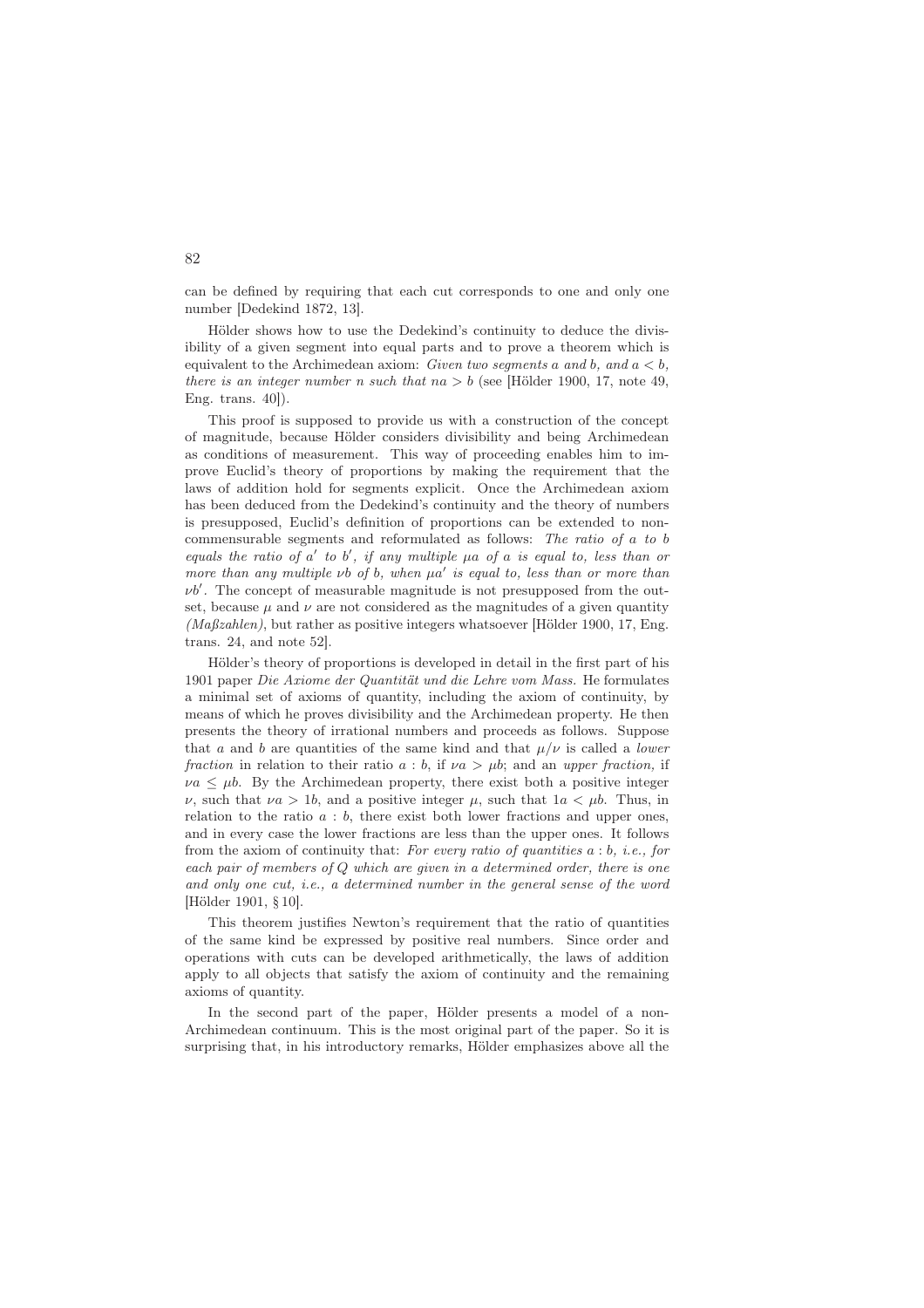can be defined by requiring that each cut corresponds to one and only one number [Dedekind 1872, 13].

Hölder shows how to use the Dedekind's continuity to deduce the divisibility of a given segment into equal parts and to prove a theorem which is equivalent to the Archimedean axiom: Given two segments a and b, and  $a < b$ , there is an integer number n such that  $na > b$  (see [Hölder 1900, 17, note 49, Eng. trans. 40]).

This proof is supposed to provide us with a construction of the concept of magnitude, because Hölder considers divisibility and being Archimedean as conditions of measurement. This way of proceeding enables him to improve Euclid's theory of proportions by making the requirement that the laws of addition hold for segments explicit. Once the Archimedean axiom has been deduced from the Dedekind's continuity and the theory of numbers is presupposed, Euclid's definition of proportions can be extended to noncommensurable segments and reformulated as follows: The ratio of a to b equals the ratio of  $a'$  to  $b'$ , if any multiple  $\mu a$  of  $a$  is equal to, less than or more than any multiple  $\nu b$  of b, when  $\mu a'$  is equal to, less than or more than  $\nu b'$ . The concept of measurable magnitude is not presupposed from the outset, because  $\mu$  and  $\nu$  are not considered as the magnitudes of a given quantity  $(Ma\beta zahlen)$ , but rather as positive integers whatsoever [Hölder 1900, 17, Eng. trans. 24, and note 52].

Hölder's theory of proportions is developed in detail in the first part of his 1901 paper Die Axiome der Quantität und die Lehre vom Mass. He formulates a minimal set of axioms of quantity, including the axiom of continuity, by means of which he proves divisibility and the Archimedean property. He then presents the theory of irrational numbers and proceeds as follows. Suppose that a and b are quantities of the same kind and that  $\mu/\nu$  is called a *lower* fraction in relation to their ratio  $a:b$ , if  $\nu a > \mu b$ ; and an upper fraction, if  $\nu a \leq \mu b$ . By the Archimedean property, there exist both a positive integer  $ν$ , such that  $νa > 1b$ , and a positive integer  $μ$ , such that  $1a < μb$ . Thus, in relation to the ratio  $a : b$ , there exist both lower fractions and upper ones, and in every case the lower fractions are less than the upper ones. It follows from the axiom of continuity that: For every ratio of quantities  $a : b$ , *i.e.*, for each pair of members of Q which are given in a determined order, there is one and only one cut, i.e., a determined number in the general sense of the word [Hölder 1901, § 10].

This theorem justifies Newton's requirement that the ratio of quantities of the same kind be expressed by positive real numbers. Since order and operations with cuts can be developed arithmetically, the laws of addition apply to all objects that satisfy the axiom of continuity and the remaining axioms of quantity.

In the second part of the paper, Hölder presents a model of a non-Archimedean continuum. This is the most original part of the paper. So it is surprising that, in his introductory remarks, Hölder emphasizes above all the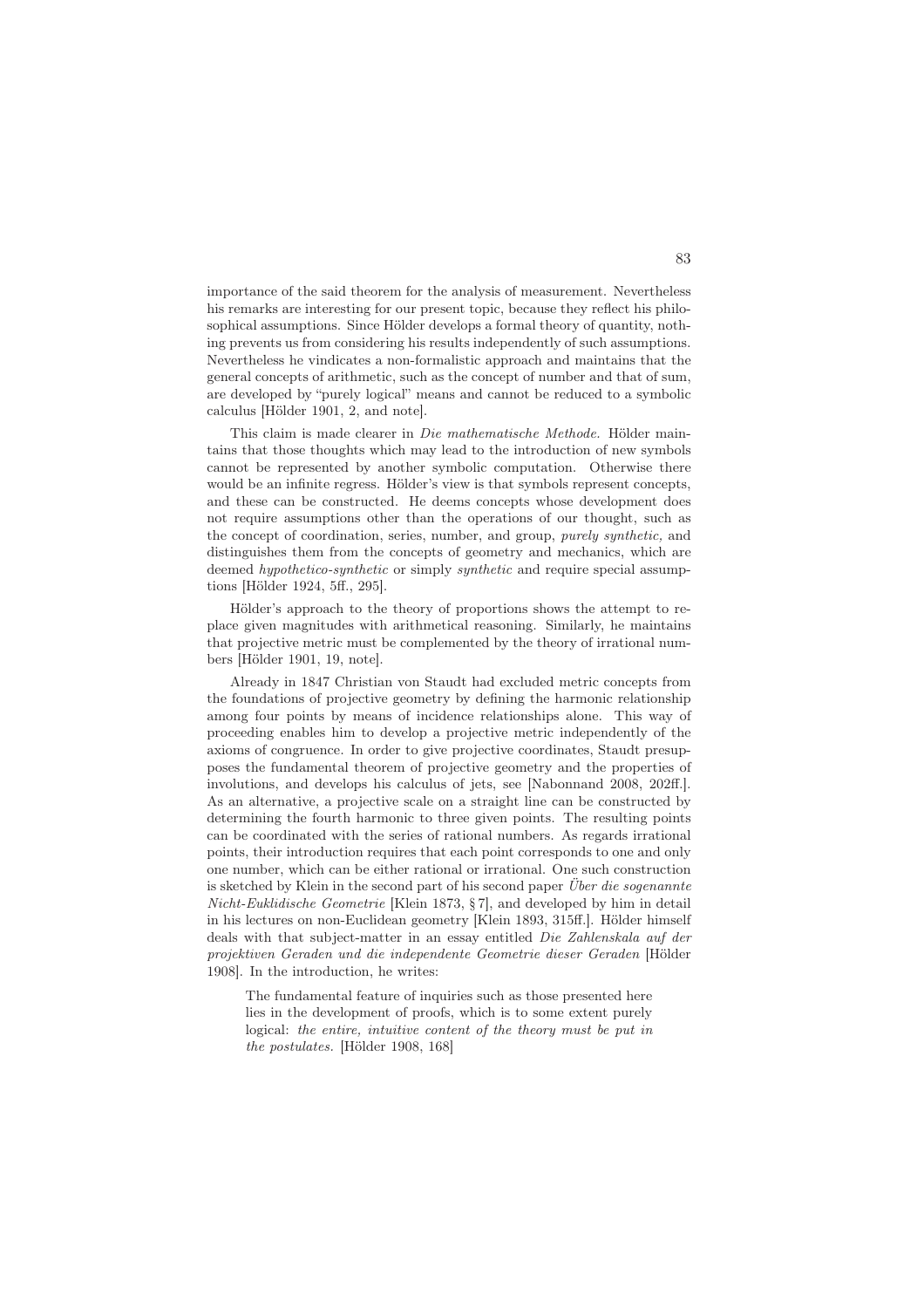importance of the said theorem for the analysis of measurement. Nevertheless his remarks are interesting for our present topic, because they reflect his philosophical assumptions. Since Hölder develops a formal theory of quantity, nothing prevents us from considering his results independently of such assumptions. Nevertheless he vindicates a non-formalistic approach and maintains that the general concepts of arithmetic, such as the concept of number and that of sum, are developed by "purely logical" means and cannot be reduced to a symbolic calculus [Hölder 1901, 2, and note].

This claim is made clearer in Die mathematische Methode. Hölder maintains that those thoughts which may lead to the introduction of new symbols cannot be represented by another symbolic computation. Otherwise there would be an infinite regress. Hölder's view is that symbols represent concepts, and these can be constructed. He deems concepts whose development does not require assumptions other than the operations of our thought, such as the concept of coordination, series, number, and group, purely synthetic, and distinguishes them from the concepts of geometry and mechanics, which are deemed hypothetico-synthetic or simply synthetic and require special assumptions [Hölder 1924, 5ff., 295].

Hölder's approach to the theory of proportions shows the attempt to replace given magnitudes with arithmetical reasoning. Similarly, he maintains that projective metric must be complemented by the theory of irrational numbers [Hölder 1901, 19, note].

Already in 1847 Christian von Staudt had excluded metric concepts from the foundations of projective geometry by defining the harmonic relationship among four points by means of incidence relationships alone. This way of proceeding enables him to develop a projective metric independently of the axioms of congruence. In order to give projective coordinates, Staudt presupposes the fundamental theorem of projective geometry and the properties of involutions, and develops his calculus of jets, see [Nabonnand 2008, 202ff.]. As an alternative, a projective scale on a straight line can be constructed by determining the fourth harmonic to three given points. The resulting points can be coordinated with the series of rational numbers. As regards irrational points, their introduction requires that each point corresponds to one and only one number, which can be either rational or irrational. One such construction is sketched by Klein in the second part of his second paper  $\ddot{U}$  *ber die sogenannte* Nicht-Euklidische Geometrie [Klein 1873, § 7], and developed by him in detail in his lectures on non-Euclidean geometry [Klein 1893, 315ff.]. Hölder himself deals with that subject-matter in an essay entitled Die Zahlenskala auf der projektiven Geraden und die independente Geometrie dieser Geraden [Hölder 1908]. In the introduction, he writes:

The fundamental feature of inquiries such as those presented here lies in the development of proofs, which is to some extent purely logical: the entire, intuitive content of the theory must be put in the postulates. [Hölder 1908, 168]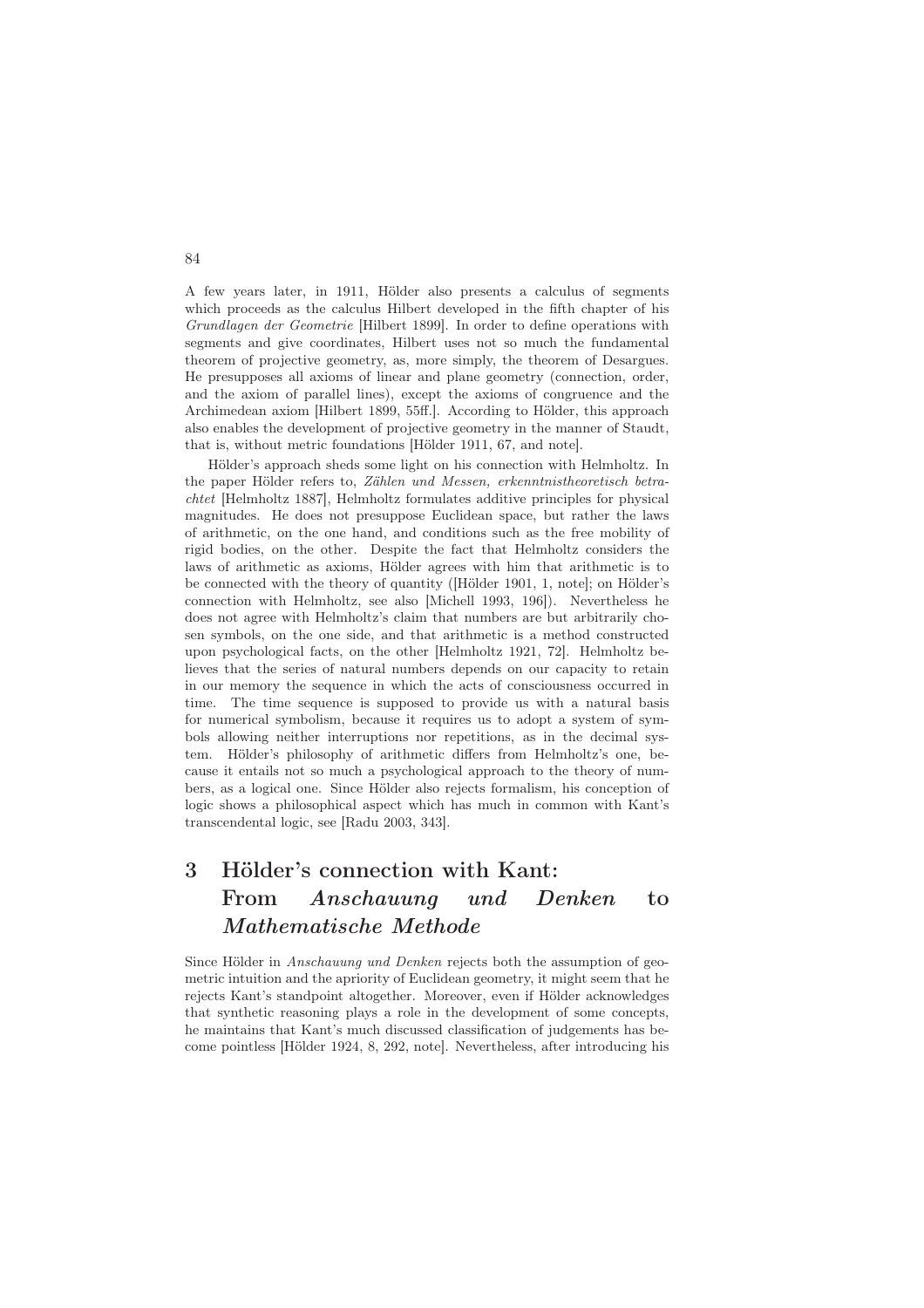A few years later, in 1911, Hölder also presents a calculus of segments which proceeds as the calculus Hilbert developed in the fifth chapter of his Grundlagen der Geometrie [Hilbert 1899]. In order to define operations with segments and give coordinates, Hilbert uses not so much the fundamental theorem of projective geometry, as, more simply, the theorem of Desargues. He presupposes all axioms of linear and plane geometry (connection, order, and the axiom of parallel lines), except the axioms of congruence and the Archimedean axiom [Hilbert 1899, 55ff.]. According to Hölder, this approach also enables the development of projective geometry in the manner of Staudt, that is, without metric foundations [Hölder 1911, 67, and note].

Hölder's approach sheds some light on his connection with Helmholtz. In the paper Hölder refers to, Zählen und Messen, erkenntnistheoretisch betrachtet [Helmholtz 1887], Helmholtz formulates additive principles for physical magnitudes. He does not presuppose Euclidean space, but rather the laws of arithmetic, on the one hand, and conditions such as the free mobility of rigid bodies, on the other. Despite the fact that Helmholtz considers the laws of arithmetic as axioms, Hölder agrees with him that arithmetic is to be connected with the theory of quantity ([Hölder 1901, 1, note]; on Hölder's connection with Helmholtz, see also [Michell 1993, 196]). Nevertheless he does not agree with Helmholtz's claim that numbers are but arbitrarily chosen symbols, on the one side, and that arithmetic is a method constructed upon psychological facts, on the other [Helmholtz 1921, 72]. Helmholtz believes that the series of natural numbers depends on our capacity to retain in our memory the sequence in which the acts of consciousness occurred in time. The time sequence is supposed to provide us with a natural basis for numerical symbolism, because it requires us to adopt a system of symbols allowing neither interruptions nor repetitions, as in the decimal system. Hölder's philosophy of arithmetic differs from Helmholtz's one, because it entails not so much a psychological approach to the theory of numbers, as a logical one. Since Hölder also rejects formalism, his conception of logic shows a philosophical aspect which has much in common with Kant's transcendental logic, see [Radu 2003, 343].

# 3 Hölder's connection with Kant: From Anschauung und Denken to Mathematische Methode

Since Hölder in Anschauung und Denken rejects both the assumption of geometric intuition and the apriority of Euclidean geometry, it might seem that he rejects Kant's standpoint altogether. Moreover, even if Hölder acknowledges that synthetic reasoning plays a role in the development of some concepts, he maintains that Kant's much discussed classification of judgements has become pointless [Hölder 1924, 8, 292, note]. Nevertheless, after introducing his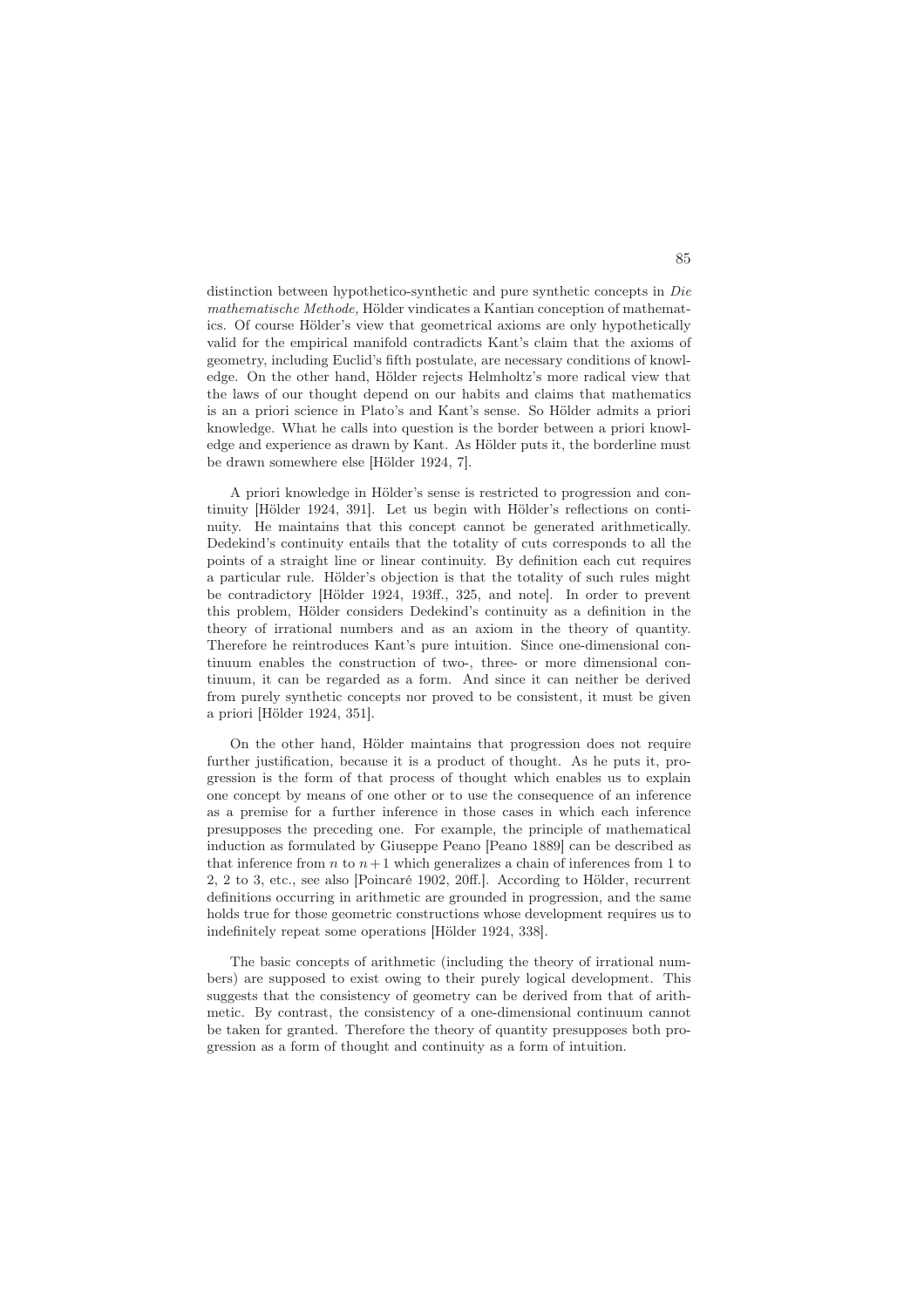distinction between hypothetico-synthetic and pure synthetic concepts in Die mathematische Methode, Hölder vindicates a Kantian conception of mathematics. Of course Hölder's view that geometrical axioms are only hypothetically valid for the empirical manifold contradicts Kant's claim that the axioms of geometry, including Euclid's fifth postulate, are necessary conditions of knowledge. On the other hand, Hölder rejects Helmholtz's more radical view that the laws of our thought depend on our habits and claims that mathematics is an a priori science in Plato's and Kant's sense. So Hölder admits a priori knowledge. What he calls into question is the border between a priori knowledge and experience as drawn by Kant. As Hölder puts it, the borderline must be drawn somewhere else [Hölder 1924, 7].

A priori knowledge in Hölder's sense is restricted to progression and continuity [Hölder 1924, 391]. Let us begin with Hölder's reflections on continuity. He maintains that this concept cannot be generated arithmetically. Dedekind's continuity entails that the totality of cuts corresponds to all the points of a straight line or linear continuity. By definition each cut requires a particular rule. Hölder's objection is that the totality of such rules might be contradictory [Hölder 1924, 193ff., 325, and note]. In order to prevent this problem, Hölder considers Dedekind's continuity as a definition in the theory of irrational numbers and as an axiom in the theory of quantity. Therefore he reintroduces Kant's pure intuition. Since one-dimensional continuum enables the construction of two-, three- or more dimensional continuum, it can be regarded as a form. And since it can neither be derived from purely synthetic concepts nor proved to be consistent, it must be given a priori [Hölder 1924, 351].

On the other hand, Hölder maintains that progression does not require further justification, because it is a product of thought. As he puts it, progression is the form of that process of thought which enables us to explain one concept by means of one other or to use the consequence of an inference as a premise for a further inference in those cases in which each inference presupposes the preceding one. For example, the principle of mathematical induction as formulated by Giuseppe Peano [Peano 1889] can be described as that inference from n to  $n+1$  which generalizes a chain of inferences from 1 to 2, 2 to 3, etc., see also [Poincaré 1902, 20ff.]. According to Hölder, recurrent definitions occurring in arithmetic are grounded in progression, and the same holds true for those geometric constructions whose development requires us to indefinitely repeat some operations [Hölder 1924, 338].

The basic concepts of arithmetic (including the theory of irrational numbers) are supposed to exist owing to their purely logical development. This suggests that the consistency of geometry can be derived from that of arithmetic. By contrast, the consistency of a one-dimensional continuum cannot be taken for granted. Therefore the theory of quantity presupposes both progression as a form of thought and continuity as a form of intuition.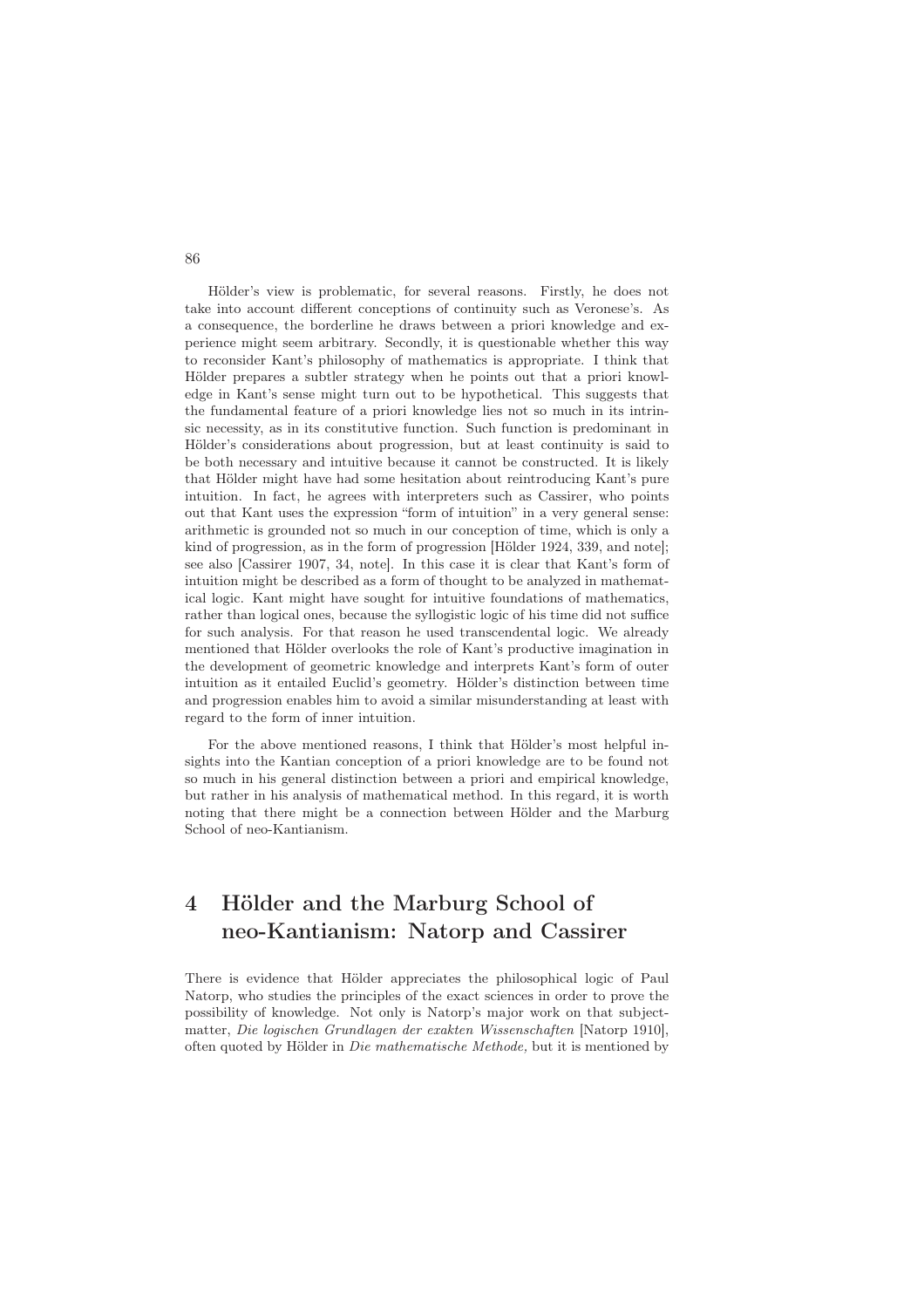Hölder's view is problematic, for several reasons. Firstly, he does not take into account different conceptions of continuity such as Veronese's. As a consequence, the borderline he draws between a priori knowledge and experience might seem arbitrary. Secondly, it is questionable whether this way to reconsider Kant's philosophy of mathematics is appropriate. I think that Hölder prepares a subtler strategy when he points out that a priori knowledge in Kant's sense might turn out to be hypothetical. This suggests that the fundamental feature of a priori knowledge lies not so much in its intrinsic necessity, as in its constitutive function. Such function is predominant in Hölder's considerations about progression, but at least continuity is said to be both necessary and intuitive because it cannot be constructed. It is likely that Hölder might have had some hesitation about reintroducing Kant's pure intuition. In fact, he agrees with interpreters such as Cassirer, who points out that Kant uses the expression "form of intuition" in a very general sense: arithmetic is grounded not so much in our conception of time, which is only a kind of progression, as in the form of progression [Hölder 1924, 339, and note]; see also [Cassirer 1907, 34, note]. In this case it is clear that Kant's form of intuition might be described as a form of thought to be analyzed in mathematical logic. Kant might have sought for intuitive foundations of mathematics, rather than logical ones, because the syllogistic logic of his time did not suffice for such analysis. For that reason he used transcendental logic. We already mentioned that Hölder overlooks the role of Kant's productive imagination in the development of geometric knowledge and interprets Kant's form of outer intuition as it entailed Euclid's geometry. Hölder's distinction between time and progression enables him to avoid a similar misunderstanding at least with regard to the form of inner intuition.

For the above mentioned reasons, I think that Hölder's most helpful insights into the Kantian conception of a priori knowledge are to be found not so much in his general distinction between a priori and empirical knowledge, but rather in his analysis of mathematical method. In this regard, it is worth noting that there might be a connection between Hölder and the Marburg School of neo-Kantianism.

# 4 Hölder and the Marburg School of neo-Kantianism: Natorp and Cassirer

There is evidence that Hölder appreciates the philosophical logic of Paul Natorp, who studies the principles of the exact sciences in order to prove the possibility of knowledge. Not only is Natorp's major work on that subjectmatter, Die logischen Grundlagen der exakten Wissenschaften [Natorp 1910], often quoted by Hölder in Die mathematische Methode, but it is mentioned by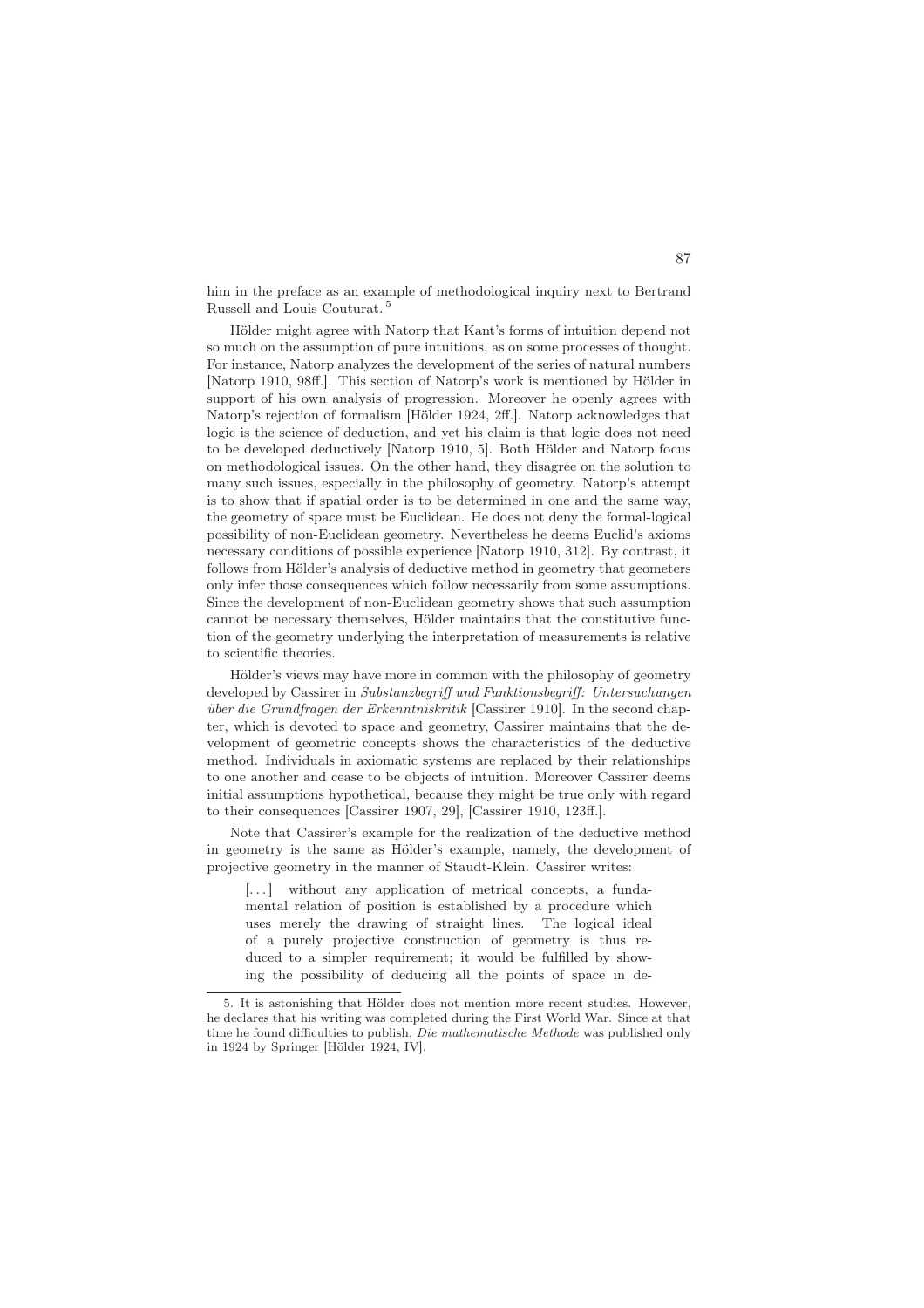him in the preface as an example of methodological inquiry next to Bertrand Russell and Louis Couturat. <sup>5</sup>

Hölder might agree with Natorp that Kant's forms of intuition depend not so much on the assumption of pure intuitions, as on some processes of thought. For instance, Natorp analyzes the development of the series of natural numbers [Natorp 1910, 98ff.]. This section of Natorp's work is mentioned by Hölder in support of his own analysis of progression. Moreover he openly agrees with Natorp's rejection of formalism [Hölder 1924, 2ff.]. Natorp acknowledges that logic is the science of deduction, and yet his claim is that logic does not need to be developed deductively [Natorp 1910, 5]. Both Hölder and Natorp focus on methodological issues. On the other hand, they disagree on the solution to many such issues, especially in the philosophy of geometry. Natorp's attempt is to show that if spatial order is to be determined in one and the same way, the geometry of space must be Euclidean. He does not deny the formal-logical possibility of non-Euclidean geometry. Nevertheless he deems Euclid's axioms necessary conditions of possible experience [Natorp 1910, 312]. By contrast, it follows from Hölder's analysis of deductive method in geometry that geometers only infer those consequences which follow necessarily from some assumptions. Since the development of non-Euclidean geometry shows that such assumption cannot be necessary themselves, Hölder maintains that the constitutive function of the geometry underlying the interpretation of measurements is relative to scientific theories.

Hölder's views may have more in common with the philosophy of geometry developed by Cassirer in Substanzbegriff und Funktionsbegriff: Untersuchungen über die Grundfragen der Erkenntniskritik [Cassirer 1910]. In the second chapter, which is devoted to space and geometry, Cassirer maintains that the development of geometric concepts shows the characteristics of the deductive method. Individuals in axiomatic systems are replaced by their relationships to one another and cease to be objects of intuition. Moreover Cassirer deems initial assumptions hypothetical, because they might be true only with regard to their consequences [Cassirer 1907, 29], [Cassirer 1910, 123ff.].

Note that Cassirer's example for the realization of the deductive method in geometry is the same as Hölder's example, namely, the development of projective geometry in the manner of Staudt-Klein. Cassirer writes:

[...] without any application of metrical concepts, a fundamental relation of position is established by a procedure which uses merely the drawing of straight lines. The logical ideal of a purely projective construction of geometry is thus reduced to a simpler requirement; it would be fulfilled by showing the possibility of deducing all the points of space in de-

<sup>5.</sup> It is astonishing that Hölder does not mention more recent studies. However, he declares that his writing was completed during the First World War. Since at that time he found difficulties to publish, *Die mathematische Methode* was published only in 1924 by Springer [Hölder 1924, IV].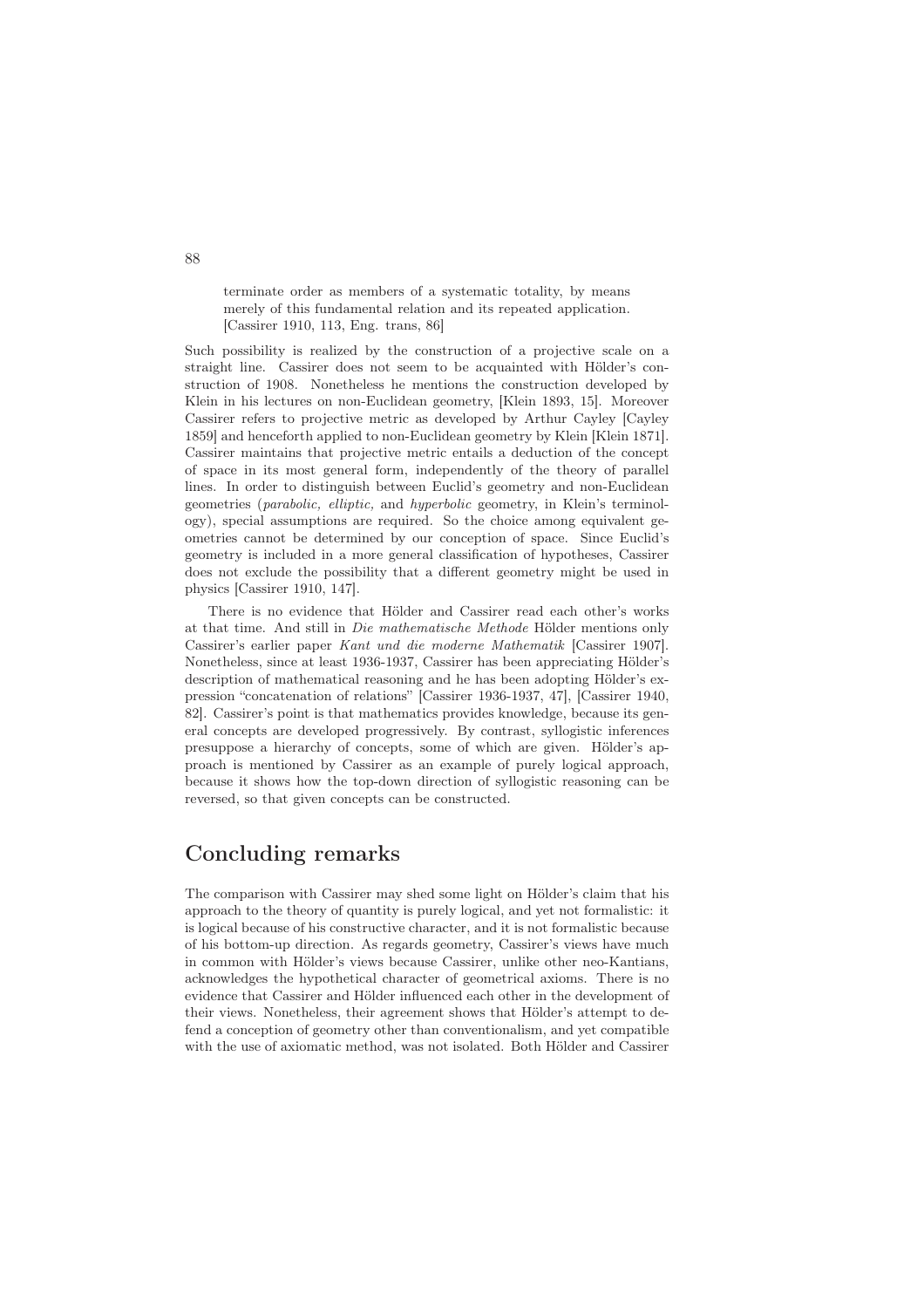terminate order as members of a systematic totality, by means merely of this fundamental relation and its repeated application. [Cassirer 1910, 113, Eng. trans, 86]

Such possibility is realized by the construction of a projective scale on a straight line. Cassirer does not seem to be acquainted with Hölder's construction of 1908. Nonetheless he mentions the construction developed by Klein in his lectures on non-Euclidean geometry, [Klein 1893, 15]. Moreover Cassirer refers to projective metric as developed by Arthur Cayley [Cayley 1859] and henceforth applied to non-Euclidean geometry by Klein [Klein 1871]. Cassirer maintains that projective metric entails a deduction of the concept of space in its most general form, independently of the theory of parallel lines. In order to distinguish between Euclid's geometry and non-Euclidean geometries (parabolic, elliptic, and hyperbolic geometry, in Klein's terminology), special assumptions are required. So the choice among equivalent geometries cannot be determined by our conception of space. Since Euclid's geometry is included in a more general classification of hypotheses, Cassirer does not exclude the possibility that a different geometry might be used in physics [Cassirer 1910, 147].

There is no evidence that Hölder and Cassirer read each other's works at that time. And still in Die mathematische Methode Hölder mentions only Cassirer's earlier paper Kant und die moderne Mathematik [Cassirer 1907]. Nonetheless, since at least 1936-1937, Cassirer has been appreciating Hölder's description of mathematical reasoning and he has been adopting Hölder's expression "concatenation of relations" [Cassirer 1936-1937, 47], [Cassirer 1940, 82]. Cassirer's point is that mathematics provides knowledge, because its general concepts are developed progressively. By contrast, syllogistic inferences presuppose a hierarchy of concepts, some of which are given. Hölder's approach is mentioned by Cassirer as an example of purely logical approach, because it shows how the top-down direction of syllogistic reasoning can be reversed, so that given concepts can be constructed.

# Concluding remarks

The comparison with Cassirer may shed some light on Hölder's claim that his approach to the theory of quantity is purely logical, and yet not formalistic: it is logical because of his constructive character, and it is not formalistic because of his bottom-up direction. As regards geometry, Cassirer's views have much in common with Hölder's views because Cassirer, unlike other neo-Kantians, acknowledges the hypothetical character of geometrical axioms. There is no evidence that Cassirer and Hölder influenced each other in the development of their views. Nonetheless, their agreement shows that Hölder's attempt to defend a conception of geometry other than conventionalism, and yet compatible with the use of axiomatic method, was not isolated. Both Hölder and Cassirer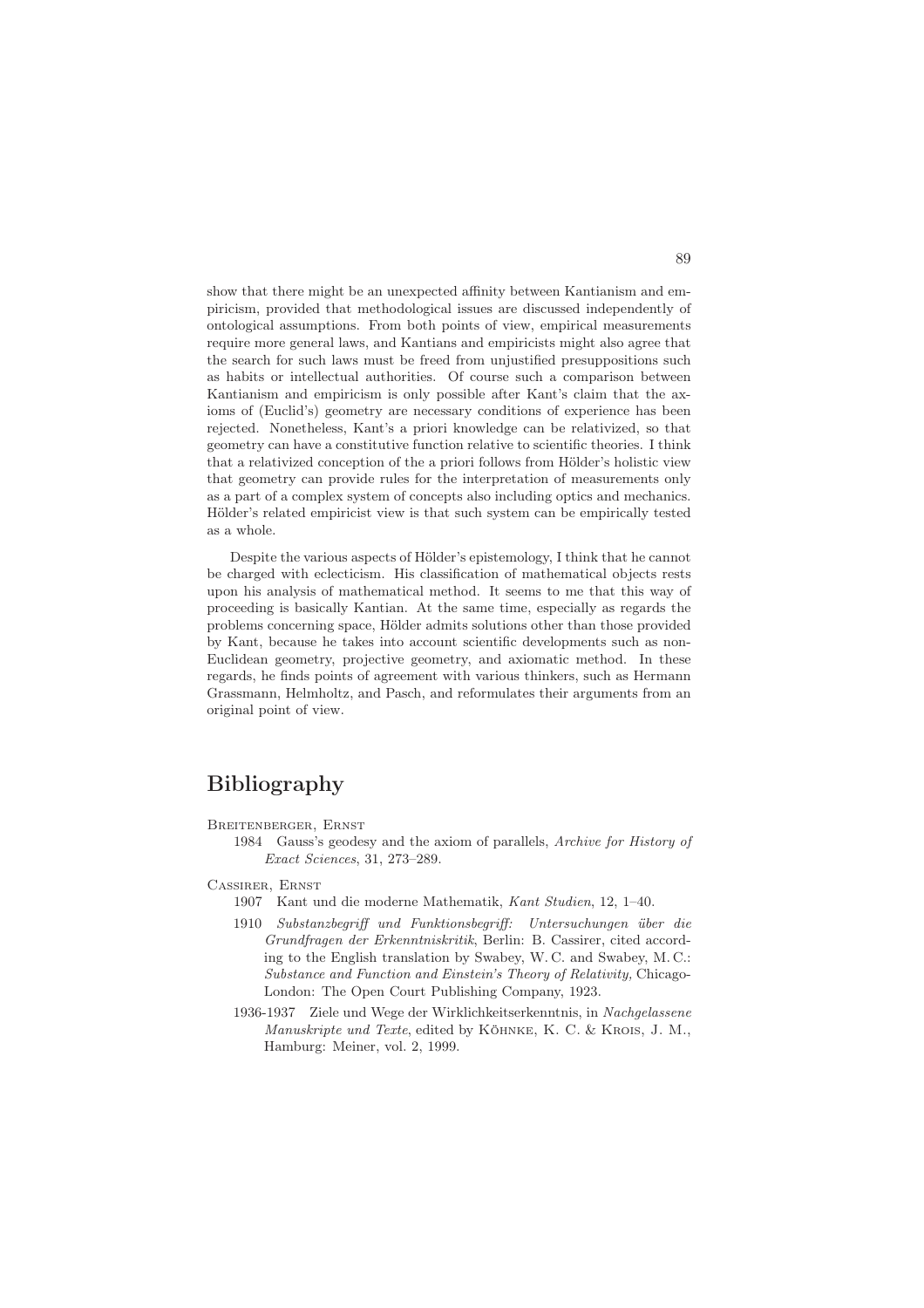show that there might be an unexpected affinity between Kantianism and empiricism, provided that methodological issues are discussed independently of ontological assumptions. From both points of view, empirical measurements require more general laws, and Kantians and empiricists might also agree that the search for such laws must be freed from unjustified presuppositions such as habits or intellectual authorities. Of course such a comparison between Kantianism and empiricism is only possible after Kant's claim that the axioms of (Euclid's) geometry are necessary conditions of experience has been rejected. Nonetheless, Kant's a priori knowledge can be relativized, so that geometry can have a constitutive function relative to scientific theories. I think that a relativized conception of the a priori follows from Hölder's holistic view that geometry can provide rules for the interpretation of measurements only as a part of a complex system of concepts also including optics and mechanics. Hölder's related empiricist view is that such system can be empirically tested as a whole.

Despite the various aspects of Hölder's epistemology, I think that he cannot be charged with eclecticism. His classification of mathematical objects rests upon his analysis of mathematical method. It seems to me that this way of proceeding is basically Kantian. At the same time, especially as regards the problems concerning space, Hölder admits solutions other than those provided by Kant, because he takes into account scientific developments such as non-Euclidean geometry, projective geometry, and axiomatic method. In these regards, he finds points of agreement with various thinkers, such as Hermann Grassmann, Helmholtz, and Pasch, and reformulates their arguments from an original point of view.

# Bibliography

- Breitenberger, Ernst
	- 1984 Gauss's geodesy and the axiom of parallels, Archive for History of Exact Sciences, 31, 273–289.

Cassirer, Ernst

- 1907 Kant und die moderne Mathematik, Kant Studien, 12, 1–40.
- 1910 Substanzbegriff und Funktionsbegriff: Untersuchungen über die Grundfragen der Erkenntniskritik, Berlin: B. Cassirer, cited according to the English translation by Swabey, W. C. and Swabey, M. C.: Substance and Function and Einstein's Theory of Relativity, Chicago-London: The Open Court Publishing Company, 1923.
- 1936-1937 Ziele und Wege der Wirklichkeitserkenntnis, in Nachgelassene Manuskripte und Texte, edited by KÖHNKE, K. C. & KROIS, J. M., Hamburg: Meiner, vol. 2, 1999.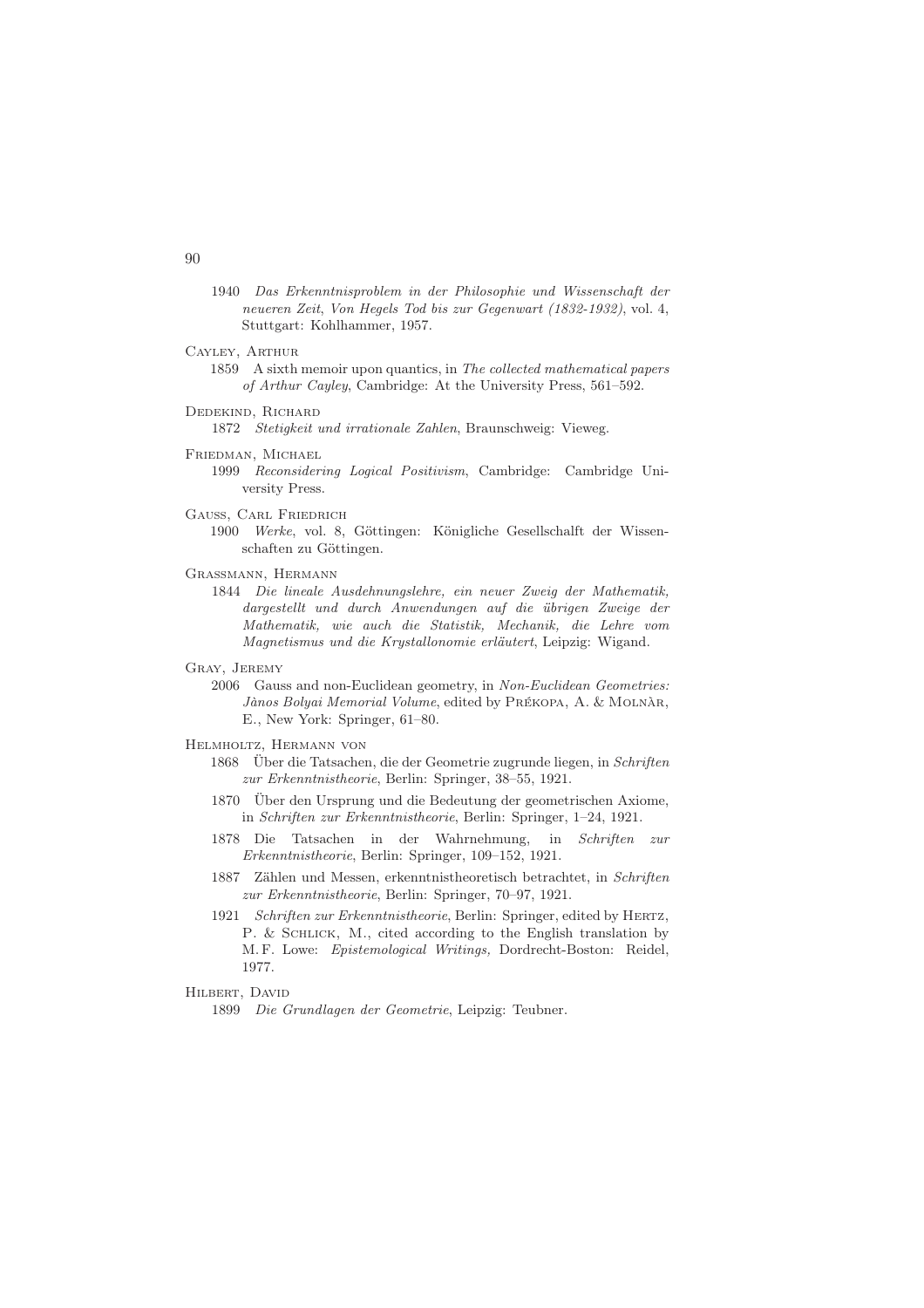- 1940 Das Erkenntnisproblem in der Philosophie und Wissenschaft der neueren Zeit, Von Hegels Tod bis zur Gegenwart (1832-1932), vol. 4, Stuttgart: Kohlhammer, 1957.
- Cayley, Arthur
	- 1859 A sixth memoir upon quantics, in The collected mathematical papers of Arthur Cayley, Cambridge: At the University Press, 561–592.
- Dedekind, Richard

1872 Stetigkeit und irrationale Zahlen, Braunschweig: Vieweg.

Friedman, Michael

1999 Reconsidering Logical Positivism, Cambridge: Cambridge University Press.

- Gauß, Carl Friedrich
	- 1900 Werke, vol. 8, Göttingen: Königliche Gesellschalft der Wissenschaften zu Göttingen.
- GRASSMANN, HERMANN
	- 1844 Die lineale Ausdehnungslehre, ein neuer Zweig der Mathematik, dargestellt und durch Anwendungen auf die übrigen Zweige der Mathematik, wie auch die Statistik, Mechanik, die Lehre vom Magnetismus und die Krystallonomie erläutert, Leipzig: Wigand.
- Gray, Jeremy
	- 2006 Gauss and non-Euclidean geometry, in Non-Euclidean Geometries: Jànos Bolyai Memorial Volume, edited by PRÉKOPA, A. & MOLNÀR, E., New York: Springer, 61–80.

## Helmholtz, Hermann von

- 1868 Über die Tatsachen, die der Geometrie zugrunde liegen, in Schriften zur Erkenntnistheorie, Berlin: Springer, 38–55, 1921.
- 1870 Über den Ursprung und die Bedeutung der geometrischen Axiome, in Schriften zur Erkenntnistheorie, Berlin: Springer, 1–24, 1921.
- 1878 Die Tatsachen in der Wahrnehmung, in Schriften zur Erkenntnistheorie, Berlin: Springer, 109–152, 1921.
- 1887 Zählen und Messen, erkenntnistheoretisch betrachtet, in Schriften zur Erkenntnistheorie, Berlin: Springer, 70–97, 1921.
- 1921 Schriften zur Erkenntnistheorie, Berlin: Springer, edited by HERTZ, P. & Schlick, M., cited according to the English translation by M. F. Lowe: Epistemological Writings, Dordrecht-Boston: Reidel, 1977.

#### Hilbert, David

1899 Die Grundlagen der Geometrie, Leipzig: Teubner.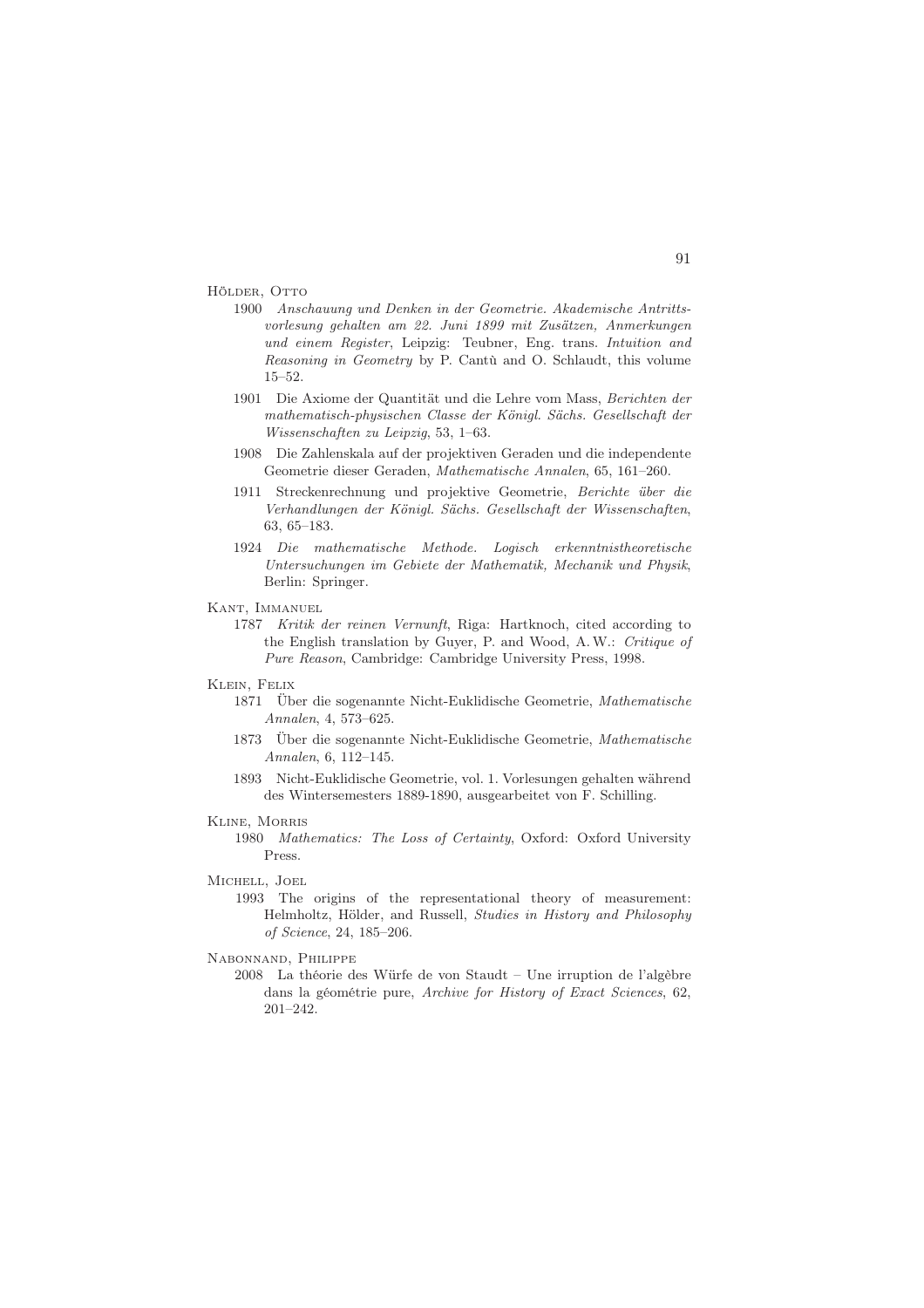### HÖLDER, OTTO

- 1900 Anschauung und Denken in der Geometrie. Akademische Antrittsvorlesung gehalten am 22. Juni 1899 mit Zusätzen, Anmerkungen und einem Register, Leipzig: Teubner, Eng. trans. Intuition and Reasoning in Geometry by P. Cantù and O. Schlaudt, this volume 15–52.
- 1901 Die Axiome der Quantität und die Lehre vom Mass, Berichten der mathematisch-physischen Classe der Königl. Sächs. Gesellschaft der Wissenschaften zu Leipzig, 53, 1–63.
- 1908 Die Zahlenskala auf der projektiven Geraden und die independente Geometrie dieser Geraden, Mathematische Annalen, 65, 161–260.
- 1911 Streckenrechnung und projektive Geometrie, Berichte über die Verhandlungen der Königl. Sächs. Gesellschaft der Wissenschaften, 63, 65–183.
- 1924 Die mathematische Methode. Logisch erkenntnistheoretische Untersuchungen im Gebiete der Mathematik, Mechanik und Physik, Berlin: Springer.

#### Kant, Immanuel

1787 Kritik der reinen Vernunft, Riga: Hartknoch, cited according to the English translation by Guyer, P. and Wood, A.W.: Critique of Pure Reason, Cambridge: Cambridge University Press, 1998.

#### Klein, Felix

- 1871 Über die sogenannte Nicht-Euklidische Geometrie, Mathematische Annalen, 4, 573–625.
- 1873 Über die sogenannte Nicht-Euklidische Geometrie, Mathematische Annalen, 6, 112–145.
- 1893 Nicht-Euklidische Geometrie, vol. 1. Vorlesungen gehalten während des Wintersemesters 1889-1890, ausgearbeitet von F. Schilling.

### Kline, Morris

1980 Mathematics: The Loss of Certainty, Oxford: Oxford University Press.

# Michell, Joel

1993 The origins of the representational theory of measurement: Helmholtz, Hölder, and Russell, Studies in History and Philosophy of Science, 24, 185–206.

### Nabonnand, Philippe

2008 La théorie des Würfe de von Staudt – Une irruption de l'algèbre dans la géométrie pure, Archive for History of Exact Sciences, 62, 201–242.